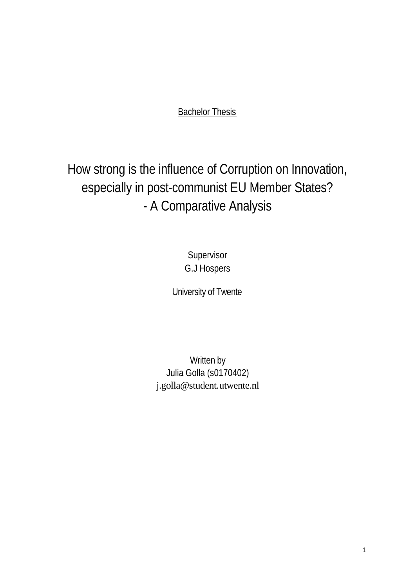**Bachelor Thesis** 

How strong is the influence of Corruption on Innovation, especially in post-communist EU Member States? - A Comparative Analysis

> **Supervisor** G.J Hospers

University of Twente

Written by Julia Golla (s0170402) j.golla@student.utwente.nl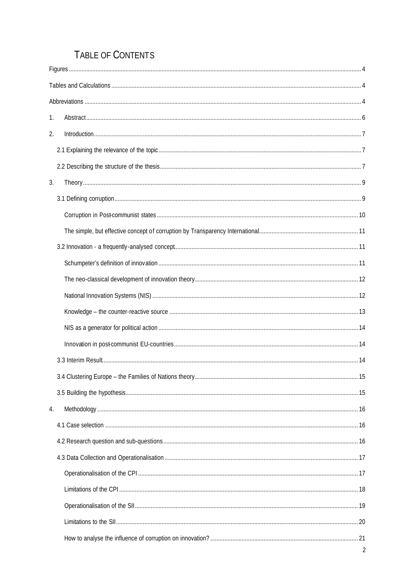# TABLE OF CONTENTS

| 1. |  |
|----|--|
| 2. |  |
|    |  |
|    |  |
| 3. |  |
|    |  |
|    |  |
|    |  |
|    |  |
|    |  |
|    |  |
|    |  |
|    |  |
|    |  |
|    |  |
|    |  |
|    |  |
|    |  |
| 4. |  |
|    |  |
|    |  |
|    |  |
|    |  |
|    |  |
|    |  |
|    |  |
|    |  |
|    |  |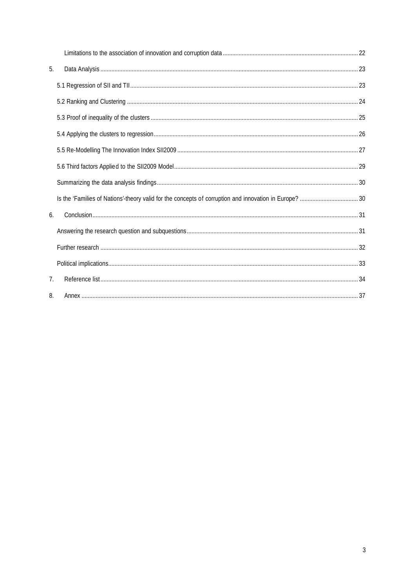| 5.             |  |
|----------------|--|
|                |  |
|                |  |
|                |  |
|                |  |
|                |  |
|                |  |
|                |  |
|                |  |
| 6.             |  |
|                |  |
|                |  |
|                |  |
| 7 <sub>1</sub> |  |
| 8.             |  |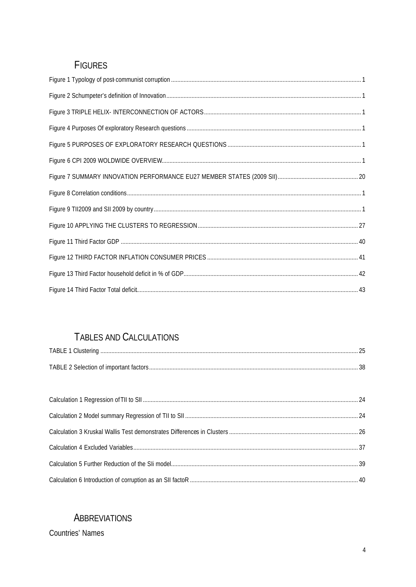## **FIGURES**

# TABLES AND CALCULATIONS

| TABLE 1 Clustering. |  |
|---------------------|--|
|                     |  |

# **ABBREVIATIONS**

**Countries' Names**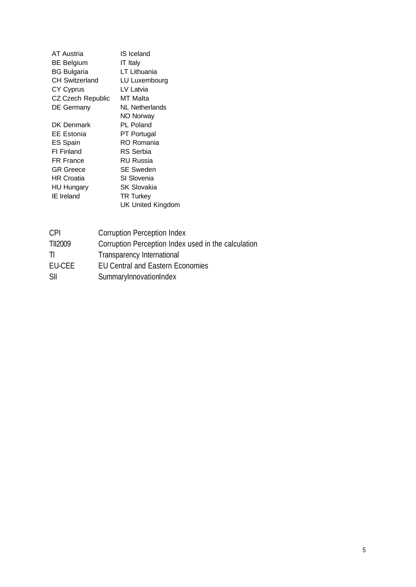| <b>AT Austria</b>     | IS Iceland         |
|-----------------------|--------------------|
| <b>BE Belgium</b>     | IT Italy           |
| <b>BG Bulgaria</b>    | LT Lithuania       |
| <b>CH Switzerland</b> | LU Luxembourg      |
| <b>CY Cyprus</b>      | LV Latvia          |
| CZ Czech Republic     | MT Malta           |
| <b>DE Germany</b>     | NL Netherlands     |
|                       | NO Norway          |
| DK Denmark            | PL Poland          |
| EE Estonia            | PT Portugal        |
| <b>ES Spain</b>       | RO Romania         |
| <b>FI</b> Finland     | RS Serbia          |
| <b>FR France</b>      | RU Russia          |
| <b>GR</b> Greece      | <b>SE Sweden</b>   |
| HR Croatia            | SI Slovenia        |
| <b>HU Hungary</b>     | <b>SK Slovakia</b> |
| <b>IE</b> Ireland     | <b>TR Turkey</b>   |
|                       | UK United Kingdom  |

| <b>CPI</b> | <b>Corruption Perception Index</b>                  |
|------------|-----------------------------------------------------|
| TII2009    | Corruption Perception Index used in the calculation |
| -11        | Transparency International                          |
| EU-CEE     | <b>EU Central and Eastern Economies</b>             |
| SII        | SummaryInnovationIndex                              |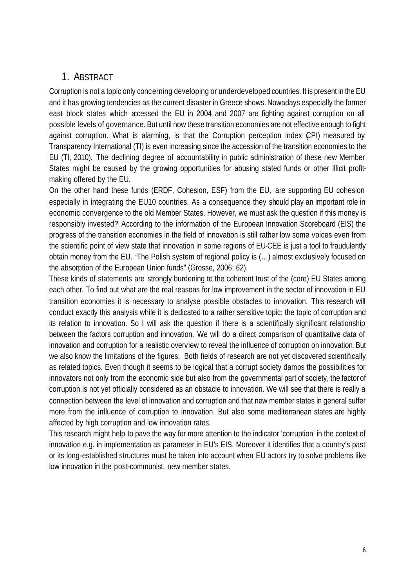## 1. ABSTRACT

Corruption is not a topic only concerning developing or underdeveloped countries. It is present in the EU and it has growing tendencies as the current disaster in Greece shows. Nowadays especially the former east block states which accessed the EU in 2004 and 2007 are fighting against corruption on all possible levels of governance. But until now these transition economies are not effective enough to fight against corruption. What is alarming, is that the Corruption perception index (CPI) measured by Transparency International (TI) is even increasing since the accession of the transition economies to the EU (TI, 2010). The declining degree of accountability in public administration of these new Member States might be caused by the growing opportunities for abusing stated funds or other illicit profitmaking offered by the EU.

On the other hand these funds (ERDF, Cohesion, ESF) from the EU, are supporting EU cohesion especially in integrating the EU10 countries. As a consequence they should play an important role in economic convergence to the old Member States. However, we must ask the question if this money is responsibly invested? According to the information of the European Innovation Scoreboard (EIS) the progress of the transition economies in the field of innovation is still rather low some voices even from the scientific point of view state that innovation in some regions of EU-CEE is just a tool to fraudulently obtain money from the EU. "The Polish system of regional policy is (…) almost exclusively focused on the absorption of the European Union funds" (Grosse, 2006: 62).

These kinds of statements are strongly burdening to the coherent trust of the (core) EU States among each other. To find out what are the real reasons for low improvement in the sector of innovation in EU transition economies it is necessary to analyse possible obstacles to innovation. This research will conduct exactly this analysis while it is dedicated to a rather sensitive topic: the topic of corruption and its relation to innovation. So I will ask the question if there is a scientifically significant relationship between the factors corruption and innovation. We will do a direct comparison of quantitative data of innovation and corruption for a realistic overview to reveal the influence of corruption on innovation. But we also know the limitations of the figures. Both fields of research are not yet discovered scientifically as related topics. Even though it seems to be logical that a corrupt society damps the possibilities for innovators not only from the economic side but also from the governmental part of society, the factor of corruption is not yet officially considered as an obstacle to innovation. We will see that there is really a connection between the level of innovation and corruption and that new member states in general suffer more from the influence of corruption to innovation. But also some mediterranean states are highly affected by high corruption and low innovation rates.

This research might help to pave the way for more attention to the indicator 'corruption' in the context of innovation e.g. in implementation as parameter in EU's EIS. Moreover it identifies that a country's past or its long-established structures must be taken into account when EU actors try to solve problems like low innovation in the post-communist, new member states.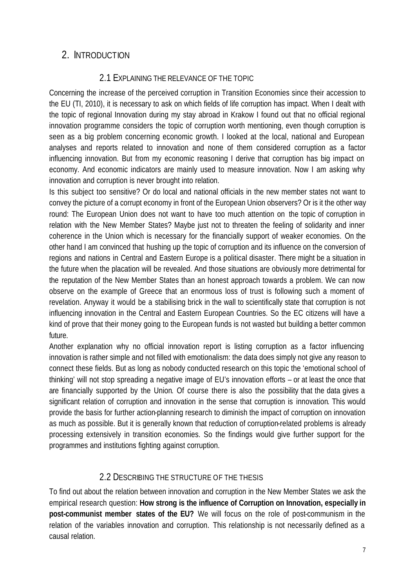## 2. INTRODUCTION

### 2.1 EXPLAINING THE RELEVANCE OF THE TOPIC

Concerning the increase of the perceived corruption in Transition Economies since their accession to the EU (TI, 2010), it is necessary to ask on which fields of life corruption has impact. When I dealt with the topic of regional Innovation during my stay abroad in Krakow I found out that no official regional innovation programme considers the topic of corruption worth mentioning, even though corruption is seen as a big problem concerning economic growth. I looked at the local, national and European analyses and reports related to innovation and none of them considered corruption as a factor influencing innovation. But from my economic reasoning I derive that corruption has big impact on economy. And economic indicators are mainly used to measure innovation. Now I am asking why innovation and corruption is never brought into relation.

Is this subject too sensitive? Or do local and national officials in the new member states not want to convey the picture of a corrupt economy in front of the European Union observers? Or is it the other way round: The European Union does not want to have too much attention on the topic of corruption in relation with the New Member States? Maybe just not to threaten the feeling of solidarity and inner coherence in the Union which is necessary for the financially support of weaker economies. On the other hand I am convinced that hushing up the topic of corruption and its influence on the conversion of regions and nations in Central and Eastern Europe is a political disaster. There might be a situation in the future when the placation will be revealed. And those situations are obviously more detrimental for the reputation of the New Member States than an honest approach towards a problem. We can now observe on the example of Greece that an enormous loss of trust is following such a moment of revelation. Anyway it would be a stabilising brick in the wall to scientifically state that corruption is not influencing innovation in the Central and Eastern European Countries. So the EC citizens will have a kind of prove that their money going to the European funds is not wasted but building a better common future.

Another explanation why no official innovation report is listing corruption as a factor influencing innovation is rather simple and not filled with emotionalism: the data does simply not give any reason to connect these fields. But as long as nobody conducted research on this topic the 'emotional school of thinking' will not stop spreading a negative image of EU's innovation efforts – or at least the once that are financially supported by the Union. Of course there is also the possibility that the data gives a significant relation of corruption and innovation in the sense that corruption is innovation. This would provide the basis for further action-planning research to diminish the impact of corruption on innovation as much as possible. But it is generally known that reduction of corruption-related problems is already processing extensively in transition economies. So the findings would give further support for the programmes and institutions fighting against corruption.

### 2.2 DESCRIBING THE STRUCTURE OF THE THESIS

To find out about the relation between innovation and corruption in the New Member States we ask the empirical research question: **How strong is the influence of Corruption on Innovation, especially in post-communist member states of the EU?** We will focus on the role of post-communism in the relation of the variables innovation and corruption. This relationship is not necessarily defined as a causal relation.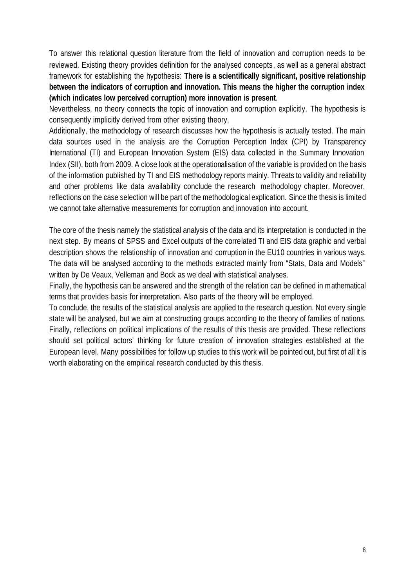To answer this relational question literature from the field of innovation and corruption needs to be reviewed. Existing theory provides definition for the analysed concepts, as well as a general abstract framework for establishing the hypothesis: **There is a scientifically significant, positive relationship between the indicators of corruption and innovation. This means the higher the corruption index (which indicates low perceived corruption) more innovation is present**.

Nevertheless, no theory connects the topic of innovation and corruption explicitly. The hypothesis is consequently implicitly derived from other existing theory.

Additionally, the methodology of research discusses how the hypothesis is actually tested. The main data sources used in the analysis are the Corruption Perception Index (CPI) by Transparency International (TI) and European Innovation System (EIS) data collected in the Summary Innovation Index (SII), both from 2009. A close look at the operationalisation of the variable is provided on the basis of the information published by TI and EIS methodology reports mainly. Threats to validity and reliability and other problems like data availability conclude the research methodology chapter. Moreover, reflections on the case selection will be part of the methodological explication. Since the thesis is limited we cannot take alternative measurements for corruption and innovation into account.

The core of the thesis namely the statistical analysis of the data and its interpretation is conducted in the next step. By means of SPSS and Excel outputs of the correlated TI and EIS data graphic and verbal description shows the relationship of innovation and corruption in the EU10 countries in various ways. The data will be analysed according to the methods extracted mainly from "Stats, Data and Models" written by De Veaux, Velleman and Bock as we deal with statistical analyses.

Finally, the hypothesis can be answered and the strength of the relation can be defined in mathematical terms that provides basis for interpretation. Also parts of the theory will be employed.

To conclude, the results of the statistical analysis are applied to the research question. Not every single state will be analysed, but we aim at constructing groups according to the theory of families of nations. Finally, reflections on political implications of the results of this thesis are provided. These reflections should set political actors' thinking for future creation of innovation strategies established at the European level. Many possibilities for follow up studies to this work will be pointed out, but first of all it is worth elaborating on the empirical research conducted by this thesis.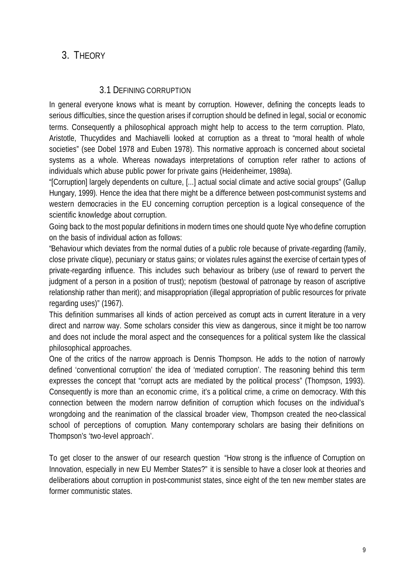## 3. THEORY

### 3.1 DEFINING CORRUPTION

In general everyone knows what is meant by corruption. However, defining the concepts leads to serious difficulties, since the question arises if corruption should be defined in legal, social or economic terms. Consequently a philosophical approach might help to access to the term corruption. Plato, Aristotle, Thucydides and Machiavelli looked at corruption as a threat to "moral health of whole societies" (see Dobel 1978 and Euben 1978). This normative approach is concerned about societal systems as a whole. Whereas nowadays interpretations of corruption refer rather to actions of individuals which abuse public power for private gains (Heidenheimer, 1989a).

"[Corruption] largely dependents on culture, [...] actual social climate and active social groups" (Gallup Hungary, 1999). Hence the idea that there might be a difference between post-communist systems and western democracies in the EU concerning corruption perception is a logical consequence of the scientific knowledge about corruption.

Going back to the most popular definitions in modern times one should quote Nye who define corruption on the basis of individual action as follows:

"Behaviour which deviates from the normal duties of a public role because of private-regarding (family, close private clique), pecuniary or status gains; or violates rules against the exercise of certain types of private-regarding influence. This includes such behaviour as bribery (use of reward to pervert the judgment of a person in a position of trust); nepotism (bestowal of patronage by reason of ascriptive relationship rather than merit); and misappropriation (illegal appropriation of public resources for private regarding uses)" (1967).

This definition summarises all kinds of action perceived as corrupt acts in current literature in a very direct and narrow way. Some scholars consider this view as dangerous, since it might be too narrow and does not include the moral aspect and the consequences for a political system like the classical philosophical approaches.

One of the critics of the narrow approach is Dennis Thompson. He adds to the notion of narrowly defined 'conventional corruption' the idea of 'mediated corruption'. The reasoning behind this term expresses the concept that "corrupt acts are mediated by the political process" (Thompson, 1993). Consequently is more than an economic crime, it's a political crime, a crime on democracy. With this connection between the modern narrow definition of corruption which focuses on the individual's wrongdoing and the reanimation of the classical broader view, Thompson created the neo-classical school of perceptions of corruption. Many contemporary scholars are basing their definitions on Thompson's 'two-level approach'.

To get closer to the answer of our research question "How strong is the influence of Corruption on Innovation, especially in new EU Member States?" it is sensible to have a closer look at theories and deliberations about corruption in post-communist states, since eight of the ten new member states are former communistic states.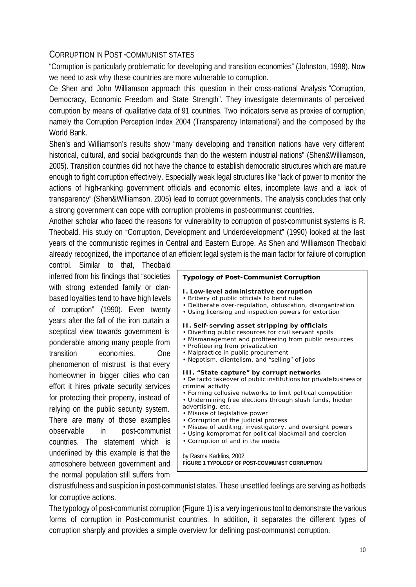#### CORRUPTION IN POST -COMMUNIST STATES

"Corruption is particularly problematic for developing and transition economies" (Johnston, 1998). Now we need to ask why these countries are more vulnerable to corruption.

Ce Shen and John Williamson approach this question in their cross-national Analysis "Corruption, Democracy, Economic Freedom and State Strength". They investigate determinants of perceived corruption by means of qualitative data of 91 countries. Two indicators serve as proxies of corruption, namely the Corruption Perception Index 2004 (Transparency International) and the composed by the World Bank.

Shen's and Williamson's results show "many developing and transition nations have very different historical, cultural, and social backgrounds than do the western industrial nations" (Shen&Williamson, 2005). Transition countries did not have the chance to establish democratic structures which are mature enough to fight corruption effectively. Especially weak legal structures like "lack of power to monitor the actions of high-ranking government officials and economic elites, incomplete laws and a lack of transparency" (Shen&Williamson, 2005) lead to corrupt governments. The analysis concludes that only a strong government can cope with corruption problems in post-communist countries.

Another scholar who faced the reasons for vulnerability to corruption of post-communist systems is R. Theobald. His study on "Corruption, Development and Underdevelopment" (1990) looked at the last years of the communistic regimes in Central and Eastern Europe. As Shen and Williamson Theobald already recognized, the importance of an efficient legal system is the main factor for failure of corruption

control. Similar to that, Theobald inferred from his findings that "societies with strong extended family or clanbased loyalties tend to have high levels of corruption" (1990). Even twenty years after the fall of the iron curtain a sceptical view towards government is ponderable among many people from transition economies. One phenomenon of mistrust is that every homeowner in bigger cities who can effort it hires private security services for protecting their property, instead of relying on the public security system. There are many of those examples observable in post-communist countries. The statement which is underlined by this example is that the atmosphere between government and the normal population still suffers from

#### **Typology of Post-Communist Corruption I. Low-level administrative corruption** • Bribery of public officials to bend rules • Deliberate over-regulation, obfuscation, disorganization • Using licensing and inspection powers for extortion **II. Self-serving asset stripping by officials** • Diverting public resources for civil servant spoils • Mismanagement and profiteering from public resources • Profiteering from privatization • Malpractice in public procurement • Nepotism, clientelism, and "selling" of jobs **III. "State capture" by corrupt networks** • De facto takeover of public institutions for private business or criminal activity • Forming collusive networks to limit political competition • Undermining free elections through slush funds, hidden advertising, etc. • Misuse of legislative power • Corruption of the judicial process • Misuse of auditing, investigatory, and oversight powers • Using kompromat for political blackmail and coercion • Corruption of and in the media by Rasma Karklins, 2002 **FIGURE 1 TYPOLOGY OF POST-COMMUNIST CORRUPTION**

distrustfulness and suspicion in post-communist states. These unsettled feelings are serving as hotbeds for corruptive actions.

The typology of post-communist corruption (Figure 1) is a very ingenious tool to demonstrate the various forms of corruption in Post-communist countries. In addition, it separates the different types of corruption sharply and provides a simple overview for defining post-communist corruption.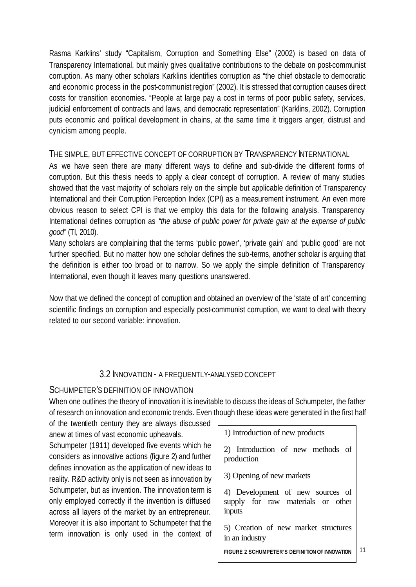Rasma Karklins' study "Capitalism, Corruption and Something Else" (2002) is based on data of Transparency International, but mainly gives qualitative contributions to the debate on post-communist corruption. As many other scholars Karklins identifies corruption as "the chief obstacle to democratic and economic process in the post-communist region" (2002). It is stressed that corruption causes direct costs for transition economies. "People at large pay a cost in terms of poor public safety, services, judicial enforcement of contracts and laws, and democratic representation" (Karklins, 2002). Corruption puts economic and political development in chains, at the same time it triggers anger, distrust and cynicism among people.

#### THE SIMPLE, BUT EFFECTIVE CONCEPT OF CORRUPTION BY TRANSPARENCY INTERNATIONAL

As we have seen there are many different ways to define and sub-divide the different forms of corruption. But this thesis needs to apply a clear concept of corruption. A review of many studies showed that the vast majority of scholars rely on the simple but applicable definition of Transparency International and their Corruption Perception Index (CPI) as a measurement instrument. An even more obvious reason to select CPI is that we employ this data for the following analysis. Transparency International defines corruption as *"the abuse of public power for private gain at the expense of public good"* (TI, 2010).

Many scholars are complaining that the terms 'public power', 'private gain' and 'public good' are not further specified. But no matter how one scholar defines the sub-terms, another scholar is arguing that the definition is either too broad or to narrow. So we apply the simple definition of Transparency International, even though it leaves many questions unanswered.

Now that we defined the concept of corruption and obtained an overview of the 'state of art' concerning scientific findings on corruption and especially post-communist corruption, we want to deal with theory related to our second variable: innovation.

### 3.2 INNOVATION - A FREQUENTLY-ANALYSED CONCEPT

#### SCHUMPETER'S DEFINITION OF INNOVATION

When one outlines the theory of innovation it is inevitable to discuss the ideas of Schumpeter, the father of research on innovation and economic trends. Even though these ideas were generated in the first half

| of the twentieth century they are always discussed                                                                                                                                                                             |                                                                                 |
|--------------------------------------------------------------------------------------------------------------------------------------------------------------------------------------------------------------------------------|---------------------------------------------------------------------------------|
| anew at times of vast economic upheavals.                                                                                                                                                                                      | 1) Introduction of new products                                                 |
| Schumpeter (1911) developed five events which he<br>considers as innovative actions (figure 2) and further<br>defines innovation as the application of new ideas to<br>reality. R&D activity only is not seen as innovation by | 2) Introduction of new methods of<br>production<br>3) Opening of new markets    |
| Schumpeter, but as invention. The innovation term is<br>only employed correctly if the invention is diffused<br>across all layers of the market by an entrepreneur.                                                            | 4) Development of new sources of<br>supply for raw materials or other<br>inputs |
| Moreover it is also important to Schumpeter that the<br>term innovation is only used in the context of                                                                                                                         | 5) Creation of new market structures<br>in an industry                          |
|                                                                                                                                                                                                                                |                                                                                 |

11 **FIGURE 2 SCHUMPETER'S DEFINITION OF INNOVATION**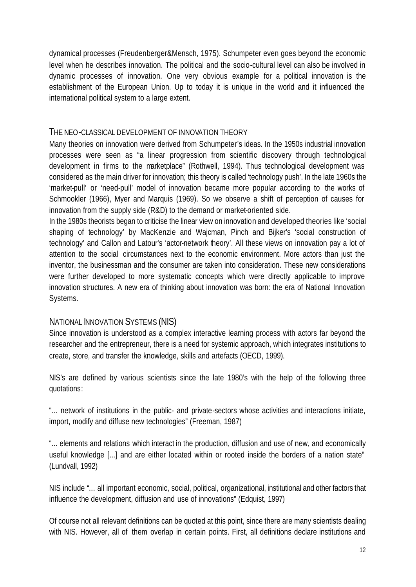dynamical processes (Freudenberger&Mensch, 1975). Schumpeter even goes beyond the economic level when he describes innovation. The political and the socio-cultural level can also be involved in dynamic processes of innovation. One very obvious example for a political innovation is the establishment of the European Union. Up to today it is unique in the world and it influenced the international political system to a large extent.

#### THE NEO-CLASSICAL DEVELOPMENT OF INNOVATION THEORY

Many theories on innovation were derived from Schumpeter's ideas. In the 1950s industrial innovation processes were seen as "a linear progression from scientific discovery through technological development in firms to the marketplace" (Rothwell, 1994). Thus technological development was considered as the main driver for innovation; this theory is called 'technology push'. In the late 1960s the 'market-pull' or 'need-pull' model of innovation became more popular according to the works of Schmookler (1966), Myer and Marquis (1969). So we observe a shift of perception of causes for innovation from the supply side (R&D) to the demand or market-oriented side.

In the 1980s theorists began to criticise the linear view on innovation and developed theories like 'social shaping of technology' by MacKenzie and Wajcman, Pinch and Bijker's 'social construction of technology' and Callon and Latour's 'actor-network theory'. All these views on innovation pay a lot of attention to the social circumstances next to the economic environment. More actors than just the inventor, the businessman and the consumer are taken into consideration. These new considerations were further developed to more systematic concepts which were directly applicable to improve innovation structures. A new era of thinking about innovation was born: the era of National Innovation Systems.

#### NATIONAL INNOVATION SYSTEMS (NIS)

Since innovation is understood as a complex interactive learning process with actors far beyond the researcher and the entrepreneur, there is a need for systemic approach, which integrates institutions to create, store, and transfer the knowledge, skills and artefacts (OECD, 1999).

NIS's are defined by various scientists since the late 1980's with the help of the following three quotations:

"... network of institutions in the public- and private-sectors whose activities and interactions initiate, import, modify and diffuse new technologies" (Freeman, 1987)

"... elements and relations which interact in the production, diffusion and use of new, and economically useful knowledge [...] and are either located within or rooted inside the borders of a nation state" (Lundvall, 1992)

NIS include "... all important economic, social, political, organizational, institutional and other factors that influence the development, diffusion and use of innovations" (Edquist, 1997)

Of course not all relevant definitions can be quoted at this point, since there are many scientists dealing with NIS. However, all of them overlap in certain points. First, all definitions declare institutions and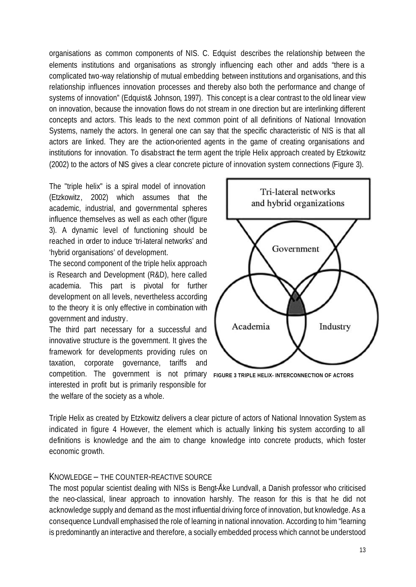organisations as common components of NIS. C. Edquist describes the relationship between the elements institutions and organisations as strongly influencing each other and adds "there is a complicated two-way relationship of mutual embedding between institutions and organisations, and this relationship influences innovation processes and thereby also both the performance and change of systems of innovation" (Edquist& Johnson, 1997). This concept is a clear contrast to the old linear view on innovation, because the innovation flows do not stream in one direction but are interlinking different concepts and actors. This leads to the next common point of all definitions of National Innovation Systems, namely the actors. In general one can say that the specific characteristic of NIS is that all actors are linked. They are the action-oriented agents in the game of creating organisations and institutions for innovation. To disabstract the term agent the triple Helix approach created by Etzkowitz (2002) to the actors of NIS gives a clear concrete picture of innovation system connections (Figure 3).

The "triple helix" is a spiral model of innovation (Etzkowitz, 2002) which assumes that the academic, industrial, and governmental spheres influence themselves as well as each other (figure 3). A dynamic level of functioning should be reached in order to induce 'tri-lateral networks' and 'hybrid organisations' of development.

The second component of the triple helix approach is Research and Development (R&D), here called academia. This part is pivotal for further development on all levels, nevertheless according to the theory it is only effective in combination with government and industry.

The third part necessary for a successful and innovative structure is the government. It gives the framework for developments providing rules on taxation, corporate governance, tariffs and competition. The government is not primary **FIGURE 3 TRIPLE HELIX- INTERCONNECTION OF ACTORS**interested in profit but is primarily responsible for the welfare of the society as a whole.



Triple Helix as created by Etzkowitz delivers a clear picture of actors of National Innovation System as indicated in figure 4 However, the element which is actually linking his system according to all definitions is knowledge and the aim to change knowledge into concrete products, which foster economic growth.

#### KNOWLEDGE – THE COUNTER-REACTIVE SOURCE

The most popular scientist dealing with NISs is Bengt-Åke Lundvall, a Danish professor who criticised the neo-classical, linear approach to innovation harshly. The reason for this is that he did not acknowledge supply and demand as the most influential driving force of innovation, but knowledge. As a consequence Lundvall emphasised the role of learning in national innovation. According to him "learning is predominantly an interactive and therefore, a socially embedded process which cannot be understood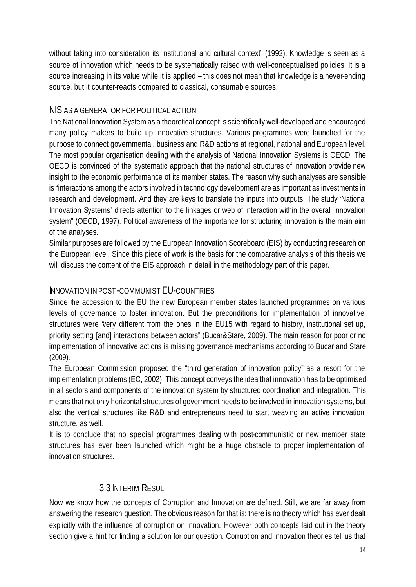without taking into consideration its institutional and cultural context" (1992). Knowledge is seen as a source of innovation which needs to be systematically raised with well-conceptualised policies. It is a source increasing in its value while it is applied – this does not mean that knowledge is a never-ending source, but it counter-reacts compared to classical, consumable sources.

#### NIS AS A GENERATOR FOR POLITICAL ACTION

The National Innovation System as a theoretical concept is scientifically well-developed and encouraged many policy makers to build up innovative structures. Various programmes were launched for the purpose to connect governmental, business and R&D actions at regional, national and European level. The most popular organisation dealing with the analysis of National Innovation Systems is OECD. The OECD is convinced of the systematic approach that the national structures of innovation provide new insight to the economic performance of its member states. The reason why such analyses are sensible is "interactions among the actors involved in technology development are as important as investments in research and development. And they are keys to translate the inputs into outputs. The study 'National Innovation Systems' directs attention to the linkages or web of interaction within the overall innovation system" (OECD, 1997). Political awareness of the importance for structuring innovation is the main aim of the analyses.

Similar purposes are followed by the European Innovation Scoreboard (EIS) by conducting research on the European level. Since this piece of work is the basis for the comparative analysis of this thesis we will discuss the content of the EIS approach in detail in the methodology part of this paper.

### INNOVATION IN POST-COMMUNIST EU-COUNTRIES

Since the accession to the EU the new European member states launched programmes on various levels of governance to foster innovation. But the preconditions for implementation of innovative structures were "very different from the ones in the EU15 with regard to history, institutional set up, priority setting [and] interactions between actors" (Bucar&Stare, 2009). The main reason for poor or no implementation of innovative actions is missing governance mechanisms according to Bucar and Stare (2009).

The European Commission proposed the "third generation of innovation policy" as a resort for the implementation problems (EC, 2002). This concept conveys the idea that innovation has to be optimised in all sectors and components of the innovation system by structured coordination and integration. This means that not only horizontal structures of government needs to be involved in innovation systems, but also the vertical structures like R&D and entrepreneurs need to start weaving an active innovation structure, as well.

It is to conclude that no special programmes dealing with post-communistic or new member state structures has ever been launched which might be a huge obstacle to proper implementation of innovation structures.

### 3.3 INTERIM RESULT

Now we know how the concepts of Corruption and Innovation are defined. Still, we are far away from answering the research question. The obvious reason for that is: there is no theory which has ever dealt explicitly with the influence of corruption on innovation. However both concepts laid out in the theory section give a hint for finding a solution for our question. Corruption and innovation theories tell us that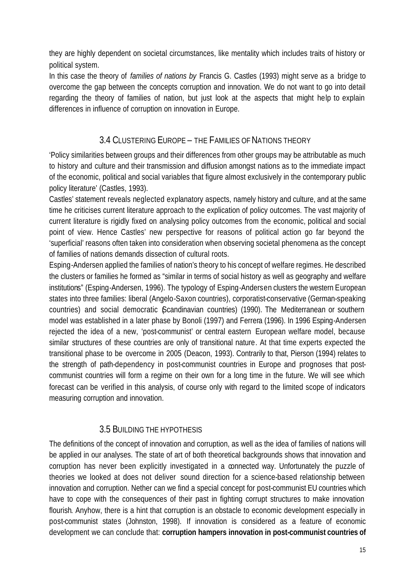they are highly dependent on societal circumstances, like mentality which includes traits of history or political system.

In this case the theory of *families of nations by* Francis G. Castles (1993) might serve as a bridge to overcome the gap between the concepts corruption and innovation. We do not want to go into detail regarding the theory of families of nation, but just look at the aspects that might help to explain differences in influence of corruption on innovation in Europe.

### 3.4 CLUSTERING EUROPE – THE FAMILIES OF NATIONS THEORY

'Policy similarities between groups and their differences from other groups may be attributable as much to history and culture and their transmission and diffusion amongst nations as to the immediate impact of the economic, political and social variables that figure almost exclusively in the contemporary public policy literature' (Castles, 1993).

Castles' statement reveals neglected explanatory aspects, namely history and culture, and at the same time he criticises current literature approach to the explication of policy outcomes. The vast majority of current literature is rigidly fixed on analysing policy outcomes from the economic, political and social point of view. Hence Castles' new perspective for reasons of political action go far beyond the 'superficial' reasons often taken into consideration when observing societal phenomena as the concept of families of nations demands dissection of cultural roots.

Esping-Andersen applied the families of nation's theory to his concept of welfare regimes. He described the clusters or families he formed as "similar in terms of social history as well as geography and welfare institutions" (Esping-Andersen, 1996). The typology of Esping-Andersen clusters the western European states into three families: liberal (Angelo-Saxon countries), corporatist-conservative (German-speaking countries) and social democratic (Scandinavian countries) (1990). The Mediterranean or southern model was established in a later phase by Bonoli (1997) and Ferrera (1996). In 1996 Esping-Andersen rejected the idea of a new, 'post-communist' or central eastern European welfare model, because similar structures of these countries are only of transitional nature. At that time experts expected the transitional phase to be overcome in 2005 (Deacon, 1993). Contrarily to that, Pierson (1994) relates to the strength of path-dependency in post-communist countries in Europe and prognoses that postcommunist countries will form a regime on their own for a long time in the future. We will see which forecast can be verified in this analysis, of course only with regard to the limited scope of indicators measuring corruption and innovation.

### 3.5 BUILDING THE HYPOTHESIS

The definitions of the concept of innovation and corruption, as well as the idea of families of nations will be applied in our analyses. The state of art of both theoretical backgrounds shows that innovation and corruption has never been explicitly investigated in a connected way. Unfortunately the puzzle of theories we looked at does not deliver sound direction for a science-based relationship between innovation and corruption. Nether can we find a special concept for post-communist EU countries which have to cope with the consequences of their past in fighting corrupt structures to make innovation flourish. Anyhow, there is a hint that corruption is an obstacle to economic development especially in post-communist states (Johnston, 1998). If innovation is considered as a feature of economic development we can conclude that: **corruption hampers innovation in post-communist countries of**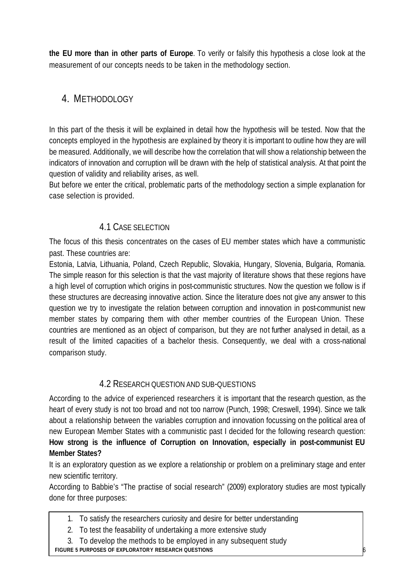**the EU more than in other parts of Europe**. To verify or falsify this hypothesis a close look at the measurement of our concepts needs to be taken in the methodology section.

## 4. METHODOLOGY

In this part of the thesis it will be explained in detail how the hypothesis will be tested. Now that the concepts employed in the hypothesis are explained by theory it is important to outline how they are will be measured. Additionally, we will describe how the correlation that will show a relationship between the indicators of innovation and corruption will be drawn with the help of statistical analysis. At that point the question of validity and reliability arises, as well.

But before we enter the critical, problematic parts of the methodology section a simple explanation for case selection is provided.

## 4.1 CASE SELECTION

The focus of this thesis concentrates on the cases of EU member states which have a communistic past. These countries are:

Estonia, Latvia, Lithuania, Poland, Czech Republic, Slovakia, Hungary, Slovenia, Bulgaria, Romania. The simple reason for this selection is that the vast majority of literature shows that these regions have a high level of corruption which origins in post-communistic structures. Now the question we follow is if these structures are decreasing innovative action. Since the literature does not give any answer to this question we try to investigate the relation between corruption and innovation in post-communist new member states by comparing them with other member countries of the European Union. These countries are mentioned as an object of comparison, but they are not further analysed in detail, as a result of the limited capacities of a bachelor thesis. Consequently, we deal with a cross-national comparison study.

### 4.2 RESEARCH QUESTION AND SUB-QUESTIONS

According to the advice of experienced researchers it is important that the research question, as the heart of every study is not too broad and not too narrow (Punch, 1998; Creswell, 1994). Since we talk about a relationship between the variables corruption and innovation focussing on the political area of new European Member States with a communistic past I decided for the following research question: **How strong is the influence of Corruption on Innovation, especially in post-communist EU Member States?**

It is an exploratory question as we explore a relationship or problem on a preliminary stage and enter new scientific territory.

According to Babbie's "The practise of social research" (2009) exploratory studies are most typically done for three purposes:

16

- 1. To satisfy the researchers curiosity and desire for better understanding
- 2. To test the feasability of undertaking a more extensive study
- 3. To develop the methods to be employed in any subsequent study

**FIGURE 5 PURPOSES OF EXPLORATORY RESEARCH QUESTIONS**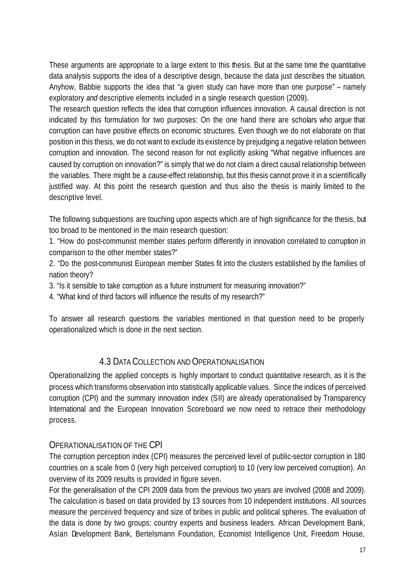These arguments are appropriate to a large extent to this thesis. But at the same time the quantitative data analysis supports the idea of a descriptive design, because the data just describes the situation. Anyhow, Babbie supports the idea that "a given study can have more than one purpose" – namely exploratory *and* descriptive elements included in a single research question (2009).

The research question reflects the idea that corruption influences innovation. A causal direction is not indicated by this formulation for two purposes: On the one hand there are scholars who argue that corruption can have positive effects on economic structures. Even though we do not elaborate on that position in this thesis, we do not want to exclude its existence by prejudging a negative relation between corruption and innovation. The second reason for not explicitly asking "What negative influences are caused by corruption on innovation?" is simply that we do not claim a direct causal relationship between the variables. There might be a cause-effect relationship, but this thesis cannot prove it in a scientifically justified way. At this point the research question and thus also the thesis is mainly limited to the descriptive level.

The following subquestions are touching upon aspects which are of high significance for the thesis, but too broad to be mentioned in the main research question:

1. "How do post-communist member states perform differently in innovation correlated to corruption in comparison to the other member states?"

2. "Do the post-communist European member States fit into the clusters established by the families of nation theory?

3. "Is it sensible to take corruption as a future instrument for measuring innovation?"

4. "What kind of third factors will influence the results of my research?"

To answer all research questions the variables mentioned in that question need to be properly operationalized which is done in the next section.

### 4.3 DATA COLLECTION AND OPERATIONALISATION

Operationalizing the applied concepts is highly important to conduct quantitative research, as it is the process which transforms observation into statistically applicable values. Since the indices of perceived corruption (CPI) and the summary innovation index (SII) are already operationalised by Transparency International and the European Innovation Scoreboard we now need to retrace their methodology process.

### OPERATIONALISATION OF THE CPI

The corruption perception index (CPI) measures the perceived level of public-sector corruption in 180 countries on a scale from 0 (very high perceived corruption) to 10 (very low perceived corruption). An overview of its 2009 results is provided in figure seven.

For the generalisation of the CPI 2009 data from the previous two years are involved (2008 and 2009). The calculation is based on data provided by 13 sources from 10 independent institutions. All sources measure the perceived frequency and size of bribes in public and political spheres. The evaluation of the data is done by two groups: country experts and business leaders. African Development Bank, Asian Development Bank, Bertelsmann Foundation, Economist Intelligence Unit, Freedom House,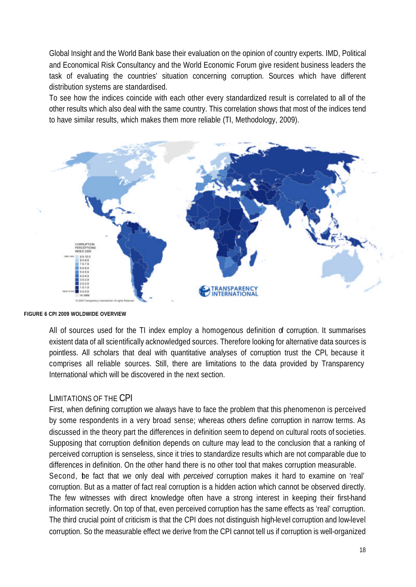Global Insight and the World Bank base their evaluation on the opinion of country experts. IMD, Political and Economical Risk Consultancy and the World Economic Forum give resident business leaders the task of evaluating the countries' situation concerning corruption. Sources which have different distribution systems are standardised.

To see how the indices coincide with each other every standardized result is correlated to all of the other results which also deal with the same country. This correlation shows that most of the indices tend to have similar results, which makes them more reliable (TI, Methodology, 2009).



**FIGURE 6 CPI 2009 WOLDWIDE OVERVIEW**

All of sources used for the TI index employ a homogenous definition of corruption. It summarises existent data of all scientifically acknowledged sources. Therefore looking for alternative data sources is pointless. All scholars that deal with quantitative analyses of corruption trust the CPI, because it comprises all reliable sources. Still, there are limitations to the data provided by Transparency International which will be discovered in the next section.

#### LIMITATIONS OF THE CPI

First, when defining corruption we always have to face the problem that this phenomenon is perceived by some respondents in a very broad sense; whereas others define corruption in narrow terms. As discussed in the theory part the differences in definition seem to depend on cultural roots of societies. Supposing that corruption definition depends on culture may lead to the conclusion that a ranking of perceived corruption is senseless, since it tries to standardize results which are not comparable due to differences in definition. On the other hand there is no other tool that makes corruption measurable. Second, he fact that we only deal with *perceived* corruption makes it hard to examine on 'real' corruption. But as a matter of fact real corruption is a hidden action which cannot be observed directly. The few witnesses with direct knowledge often have a strong interest in keeping their first-hand information secretly. On top of that, even perceived corruption has the same effects as 'real' corruption. The third crucial point of criticism is that the CPI does not distinguish high-level corruption and low-level corruption. So the measurable effect we derive from the CPI cannot tell us if corruption is well-organized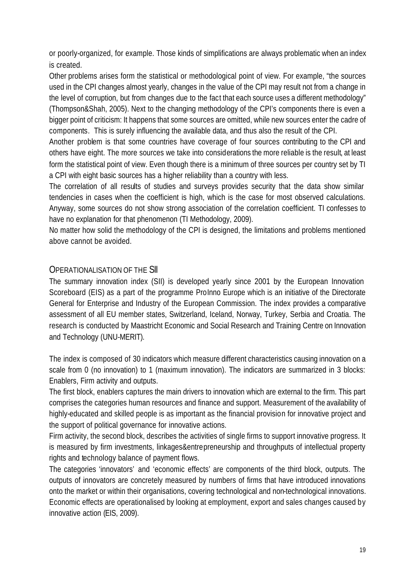or poorly-organized, for example. Those kinds of simplifications are always problematic when an index is created.

Other problems arises form the statistical or methodological point of view. For example, "the sources used in the CPI changes almost yearly, changes in the value of the CPI may result not from a change in the level of corruption, but from changes due to the fact that each source uses a different methodology" (Thompson&Shah, 2005). Next to the changing methodology of the CPI's components there is even a bigger point of criticism: It happens that some sources are omitted, while new sources enter the cadre of components. This is surely influencing the available data, and thus also the result of the CPI.

Another problem is that some countries have coverage of four sources contributing to the CPI and others have eight. The more sources we take into considerations the more reliable is the result, at least form the statistical point of view. Even though there is a minimum of three sources per country set by TI a CPI with eight basic sources has a higher reliability than a country with less.

The correlation of all results of studies and surveys provides security that the data show similar tendencies in cases when the coefficient is high, which is the case for most observed calculations. Anyway, some sources do not show strong association of the correlation coefficient. TI confesses to have no explanation for that phenomenon (TI Methodology, 2009).

No matter how solid the methodology of the CPI is designed, the limitations and problems mentioned above cannot be avoided.

### OPERATIONALISATION OF THE SII

The summary innovation index (SII) is developed yearly since 2001 by the European Innovation Scoreboard (EIS) as a part of the programme ProInno Europe which is an initiative of the Directorate General for Enterprise and Industry of the European Commission. The index provides a comparative assessment of all EU member states, Switzerland, Iceland, Norway, Turkey, Serbia and Croatia. The research is conducted by Maastricht Economic and Social Research and Training Centre on Innovation and Technology (UNU-MERIT).

The index is composed of 30 indicators which measure different characteristics causing innovation on a scale from 0 (no innovation) to 1 (maximum innovation). The indicators are summarized in 3 blocks: Enablers, Firm activity and outputs.

The first block, enablers captures the main drivers to innovation which are external to the firm. This part comprises the categories human resources and finance and support. Measurement of the availability of highly-educated and skilled people is as important as the financial provision for innovative project and the support of political governance for innovative actions.

Firm activity, the second block, describes the activities of single firms to support innovative progress. It is measured by firm investments, linkages&entrepreneurship and throughputs of intellectual property rights and technology balance of payment flows.

The categories 'innovators' and 'economic effects' are components of the third block, outputs. The outputs of innovators are concretely measured by numbers of firms that have introduced innovations onto the market or within their organisations, covering technological and non-technological innovations. Economic effects are operationalised by looking at employment, export and sales changes caused by innovative action (EIS, 2009).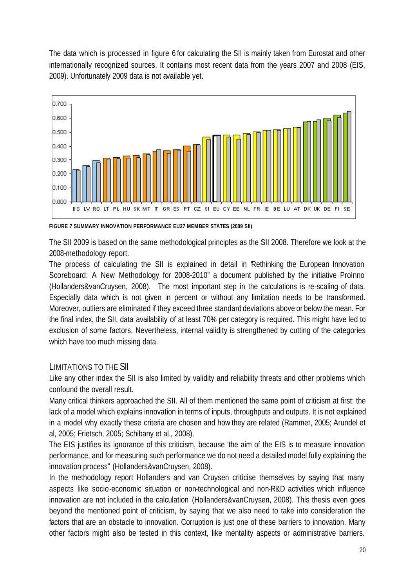The data which is processed in figure 6 for calculating the SII is mainly taken from Eurostat and other internationally recognized sources. It contains most recent data from the years 2007 and 2008 (EIS, 2009). Unfortunately 2009 data is not available yet.



**FIGURE 7 SUMMARY INNOVATION PERFORMANCE EU27 MEMBER STATES (2009 SII)**

The SII 2009 is based on the same methodological principles as the SII 2008. Therefore we look at the 2008-methodology report.

The process of calculating the SII is explained in detail in Rethinking the European Innovation Scoreboard: A New Methodology for 2008-2010" a document published by the initiative ProInno (Hollanders&vanCruysen, 2008). The most important step in the calculations is re-scaling of data. Especially data which is not given in percent or without any limitation needs to be transformed. Moreover, outliers are eliminated if they exceed three standard deviations above or below the mean. For the final index, the SII, data availability of at least 70% per category is required. This might have led to exclusion of some factors. Nevertheless, internal validity is strengthened by cutting of the categories which have too much missing data.

### LIMITATIONS TO THE SII

Like any other index the SII is also limited by validity and reliability threats and other problems which confound the overall result.

Many critical thinkers approached the SII. All of them mentioned the same point of criticism at first: the lack of a model which explains innovation in terms of inputs, throughputs and outputs. It is not explained in a model why exactly these criteria are chosen and how they are related (Rammer, 2005; Arundel et al, 2005; Frietsch, 2005; Schibany et al., 2008).

The EIS justifies its ignorance of this criticism, because "the aim of the EIS is to measure innovation performance, and for measuring such performance we do not need a detailed model fully explaining the innovation process" (Hollanders&vanCruysen, 2008).

In the methodology report Hollanders and van Cruysen criticise themselves by saying that many aspects like socio-economic situation or non-technological and non-R&D activities which influence innovation are not included in the calculation (Hollanders&vanCruysen, 2008). This thesis even goes beyond the mentioned point of criticism, by saying that we also need to take into consideration the factors that are an obstacle to innovation. Corruption is just one of these barriers to innovation. Many other factors might also be tested in this context, like mentality aspects or administrative barriers.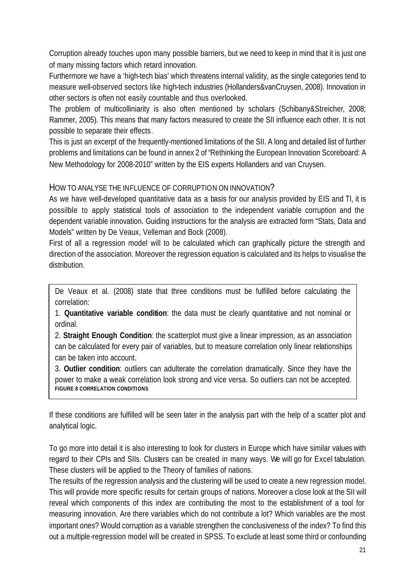Corruption already touches upon many possible barriers, but we need to keep in mind that it is just one of many missing factors which retard innovation.

Furthermore we have a 'high-tech bias' which threatens internal validity, as the single categories tend to measure well-observed sectors like high-tech industries (Hollanders&vanCruysen, 2008). Innovation in other sectors is often not easily countable and thus overlooked.

The problem of multicolliniarity is also often mentioned by scholars (Schibany&Streicher, 2008; Rammer, 2005). This means that many factors measured to create the SII influence each other. It is not possible to separate their effects.

This is just an excerpt of the frequently-mentioned limitations of the SII. A long and detailed list of further problems and limitations can be found in annex 2 of "Rethinking the European Innovation Scoreboard: A New Methodology for 2008-2010" written by the EIS experts Hollanders and van Cruysen.

#### HOW TO ANALYSE THE INFLUENCE OF CORRUPTION ON INNOVATION?

As we have well-developed quantitative data as a basis for our analysis provided by EIS and TI, it is possilble to apply statistical tools of association to the independent variable corruption and the dependent variable innovation. Guiding instructions for the analysis are extracted form "Stats, Data and Models" written by De Veaux, Velleman and Bock (2008).

First of all a regression model will to be calculated which can graphically picture the strength and direction of the association. Moreover the regression equation is calculated and its helps to visualise the distribution.

De Veaux et al. (2008) state that three conditions must be fulfilled before calculating the correlation:

1. **Quantitative variable condition**: the data must be clearly quantitative and not nominal or ordinal.

2. **Straight Enough Condition**: the scatterplot must give a linear impression, as an association can be calculated for every pair of variables, but to measure correlation only linear relationships can be taken into account.

3. **Outlier condition**: outliers can adulterate the correlation dramatically. Since they have the power to make a weak correlation look strong and vice versa. So outliers can not be accepted. **FIGURE 8 CORRELATION CONDITIONS**

If these conditions are fulfilled will be seen later in the analysis part with the help of a scatter plot and analytical logic.

To go more into detail it is also interesting to look for clusters in Europe which have similar values with regard to their CPIs and SIIs. Clusters can be created in many ways. We will go for Excel tabulation. These clusters will be applied to the Theory of families of nations.

The results of the regression analysis and the clustering will be used to create a new regression model. This will provide more specific results for certain groups of nations. Moreover a close look at the SII will reveal which components of this index are contributing the most to the establishment of a tool for measuring innovation. Are there variables which do not contribute a lot? Which variables are the most important ones? Would corruption as a variable strengthen the conclusiveness of the index? To find this out a multiple-regression model will be created in SPSS. To exclude at least some third or confounding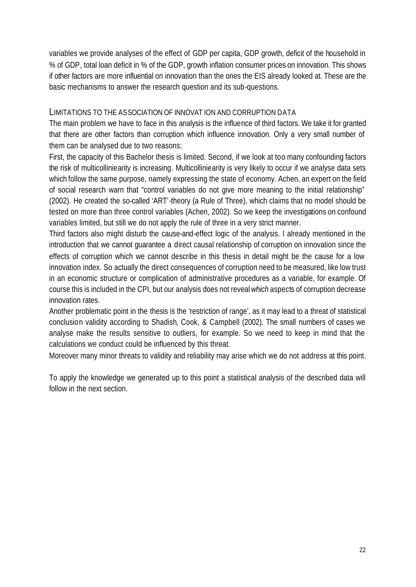variables we provide analyses of the effect of GDP per capita, GDP growth, deficit of the household in % of GDP, total loan deficit in % of the GDP, growth inflation consumer prices on innovation. This shows if other factors are more influential on innovation than the ones the EIS already looked at. These are the basic mechanisms to answer the research question and its sub-questions.

#### LIMITATIONS TO THE ASSOCIATION OF INNOVAT ION AND CORRUPTION DATA

The main problem we have to face in this analysis is the influence of third factors. We take it for granted that there are other factors than corruption which influence innovation. Only a very small number of them can be analysed due to two reasons:

First, the capacity of this Bachelor thesis is limited. Second, if we look at too many confounding factors the risk of multicolliniearity is increasing. Multicolliniearity is very likely to occur if we analyse data sets which follow the same purpose, namely expressing the state of economy. Achen, an expert on the field of social research warn that "control variables do not give more meaning to the initial relationship" (2002). He created the so-called 'ART'-theory (a Rule of Three), which claims that no model should be tested on more than three control variables (Achen, 2002). So we keep the investigations on confound variables limited, but still we do not apply the rule of three in a very strict manner.

Third factors also might disturb the cause-and-effect logic of the analysis. I already mentioned in the introduction that we cannot guarantee a direct causal relationship of corruption on innovation since the effects of corruption which we cannot describe in this thesis in detail might be the cause for a low innovation index. So actually the direct consequences of corruption need to be measured, like low trust in an economic structure or complication of administrative procedures as a variable, for example. Of course this is included in the CPI, but our analysis does not reveal *which* aspects of corruption decrease innovation rates.

Another problematic point in the thesis is the 'restriction of range', as it may lead to a threat of statistical conclusion validity according to Shadish, Cook, & Campbell (2002). The small numbers of cases we analyse make the results sensitive to outliers, for example. So we need to keep in mind that the calculations we conduct could be influenced by this threat.

Moreover many minor threats to validity and reliability may arise which we do not address at this point.

To apply the knowledge we generated up to this point a statistical analysis of the described data will follow in the next section.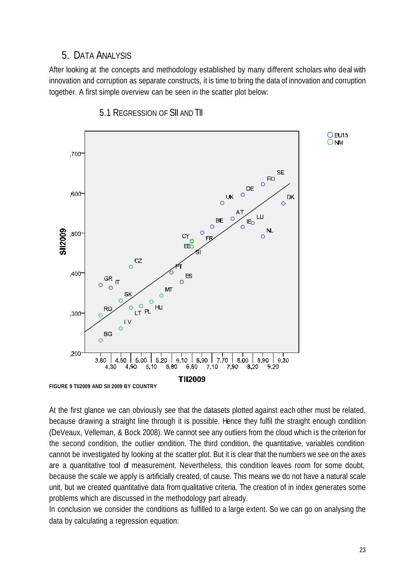### 5. DATA ANALYSIS

After looking at the concepts and methodology established by many different scholars who deal with innovation and corruption as separate constructs, it is time to bring the data of innovation and corruption together. A first simple overview can be seen in the scatter plot below:



5.1 REGRESSION OF SII AND TII

At the first glance we can obviously see that the datasets plotted against each other must be related, because drawing a straight line through it is possible. Hence they fulfil the straight enough condition (DeVeaux, Velleman, & Bock 2008). We cannot see any outliers from the cloud which is the criterion for the second condition, the outlier condition. The third condition, the quantitative, variables condition cannot be investigated by looking at the scatter plot. But it is clear that the numbers we see on the axes are a quantitative tool of measurement. Nevertheless, this condition leaves room for some doubt, because the scale we apply is artificially created, of cause. This means we do not have a natural scale unit, but we created quantitative data from qualitative criteria. The creation of in index generates some problems which are discussed in the methodology part already.

In conclusion we consider the conditions as fulfilled to a large extent. So we can go on analysing the data by calculating a regression equation: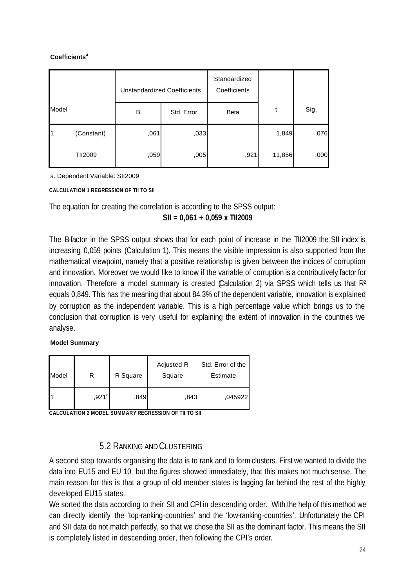#### **Coefficients<sup>a</sup>**

|       |                | <b>Unstandardized Coefficients</b> |            | Standardized<br>Coefficients |        |      |
|-------|----------------|------------------------------------|------------|------------------------------|--------|------|
| Model |                | B                                  | Std. Error | <b>Beta</b>                  | t      | Sig. |
|       | (Constant)     | ,061                               | ,033       |                              | 1,849  | ,076 |
|       | <b>TII2009</b> | ,059                               | ,005       | ,921                         | 11,856 | ,000 |

a. Dependent Variable: SII2009

**CALCULATION 1 REGRESSION OF TII TO SII**

The equation for creating the correlation is according to the SPSS output:

#### **SII = 0,061 + 0,059 x TII2009**

The B-factor in the SPSS output shows that for each point of increase in the TII2009 the SII index is increasing 0,059 points (Calculation 1). This means the visible impression is also supported from the mathematical viewpoint, namely that a positive relationship is given between the indices of corruption and innovation. Moreover we would like to know if the variable of corruption is a contributively factor for innovation. Therefore a model summary is created (Calculation 2) via SPSS which tells us that R<sup>2</sup> equals 0,849. This has the meaning that about 84,3% of the dependent variable, innovation is explained by corruption as the independent variable. This is a high percentage value which brings us to the conclusion that corruption is very useful for explaining the extent of innovation in the countries we analyse.

#### **Model Summary**

| Model | R                 | R Square | Adjusted R<br>Square | Std. Error of the<br>Estimate |  |
|-------|-------------------|----------|----------------------|-------------------------------|--|
|       | ,921 <sup>a</sup> | ,849     | ,843                 | ,045922                       |  |

**CALCULATION 2 MODEL SUMMARY REGRESSION OF TII TO SII**

### 5.2 RANKING AND CLUSTERING

A second step towards organising the data is to rank and to form clusters. First we wanted to divide the data into EU15 and EU 10, but the figures showed immediately, that this makes not much sense. The main reason for this is that a group of old member states is lagging far behind the rest of the highly developed EU15 states.

We sorted the data according to their SII and CPI in descending order. With the help of this method we can directly identify the 'top-ranking-countries' and the 'low-ranking-countries'. Unfortunately the CPI and SII data do not match perfectly, so that we chose the SII as the dominant factor. This means the SII is completely listed in descending order, then following the CPI's order.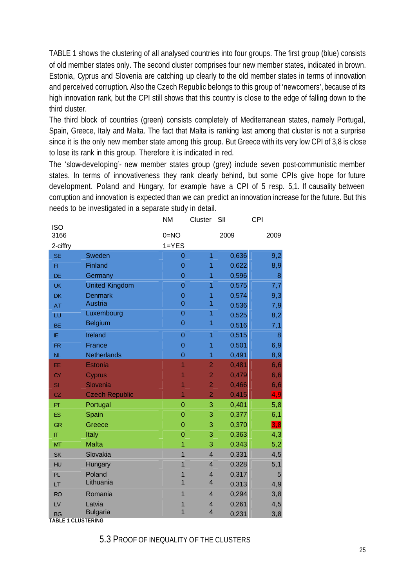TABLE 1 shows the clustering of all analysed countries into four groups. The first group (blue) consists of old member states only. The second cluster comprises four new member states, indicated in brown. Estonia, Cyprus and Slovenia are catching up clearly to the old member states in terms of innovation and perceived corruption. Also the Czech Republic belongs to this group of 'newcomers', because of its high innovation rank, but the CPI still shows that this country is close to the edge of falling down to the third cluster.

The third block of countries (green) consists completely of Mediterranean states, namely Portugal, Spain, Greece, Italy and Malta. The fact that Malta is ranking last among that cluster is not a surprise since it is the only new member state among this group. But Greece with its very low CPI of 3,8 is close to lose its rank in this group. Therefore it is indicated in red.

The 'slow-developing'- new member states group (grey) include seven post-communistic member states. In terms of innovativeness they rank clearly behind, but some CPIs give hope for future development. Poland and Hungary, for example have a CPI of 5 resp. 5,1. If causality between corruption and innovation is expected than we can predict an innovation increase for the future. But this needs to be investigated in a separate study in detail.

| <b>ISO</b>                |                       | <b>NM</b>      | Cluster                 | SII   | <b>CPI</b>     |
|---------------------------|-----------------------|----------------|-------------------------|-------|----------------|
| 3166                      |                       | $0=NO$         |                         | 2009  | 2009           |
| 2-ciffry                  |                       | $1 = YES$      |                         |       |                |
| <b>SE</b>                 | Sweden                | $\overline{0}$ | 1                       | 0,636 | 9,2            |
| F1                        | Finland               | $\mathbf 0$    | 1                       | 0,622 | 8,9            |
| DE                        | Germany               | $\mathbf 0$    | 1                       | 0,596 | 8              |
| <b>UK</b>                 | <b>United Kingdom</b> | $\overline{0}$ | 1                       | 0,575 | 7,7            |
| <b>DK</b>                 | <b>Denmark</b>        | $\overline{0}$ | 1                       | 0,574 | 9,3            |
| <b>AT</b>                 | Austria               | $\overline{0}$ | $\overline{1}$          | 0,536 | 7,9            |
| LU                        | Luxembourg            | $\overline{0}$ | 1                       | 0,525 | 8,2            |
| <b>BE</b>                 | <b>Belgium</b>        | $\overline{0}$ | 1                       | 0,516 | 7,1            |
| IE.                       | Ireland               | $\overline{0}$ | 1                       | 0,515 | 8              |
| <b>FR</b>                 | France                | $\overline{0}$ | 1                       | 0,501 | 6,9            |
| NL                        | <b>Netherlands</b>    | $\overline{0}$ | 1                       | 0,491 | 8,9            |
| EE.                       | <b>Estonia</b>        | 1              | $\overline{2}$          | 0,481 | 6,6            |
| <b>CY</b>                 | Cyprus                | 1              | $\overline{2}$          | 0,479 | 6,6            |
| SI                        | Slovenia              | 1              | $\overline{2}$          | 0,466 | 6,6            |
| CZ                        | <b>Czech Republic</b> | $\overline{1}$ | $\overline{2}$          | 0,415 | 4, 9           |
| PT                        | Portugal              | $\overline{0}$ | 3                       | 0,401 | 5,8            |
| <b>ES</b>                 | Spain                 | $\overline{0}$ | 3                       | 0,377 | 6,1            |
| <b>GR</b>                 | Greece                | $\overline{0}$ | 3                       | 0,370 | 3.8            |
| $\Pi$                     | Italy                 | $\overline{0}$ | 3                       | 0,363 | 4,3            |
| MT                        | <b>Malta</b>          | 1              | 3                       | 0,343 | 5,2            |
| <b>SK</b>                 | Slovakia              | $\overline{1}$ | $\overline{\mathbf{4}}$ | 0,331 | 4,5            |
| <b>HU</b>                 | Hungary               | 1              | $\overline{\mathbf{4}}$ | 0,328 | 5,1            |
| PL.                       | Poland                | 1              | $\overline{\mathbf{4}}$ | 0,317 | $5\phantom{.}$ |
| LT                        | Lithuania             | 1              | $\overline{4}$          | 0,313 | 4,9            |
| <b>RO</b>                 | Romania               | 1              | $\overline{\mathbf{4}}$ | 0,294 | 3,8            |
| LV                        | Latvia                | 1              | $\overline{\mathbf{4}}$ | 0,261 | 4,5            |
| <b>BG</b>                 | <b>Bulgaria</b>       | $\overline{1}$ | $\overline{4}$          | 0,231 | 3,8            |
| <b>TABLE 1 CLUSTERING</b> |                       |                |                         |       |                |

5.3 PROOF OF INEQUALITY OF THE CLUSTERS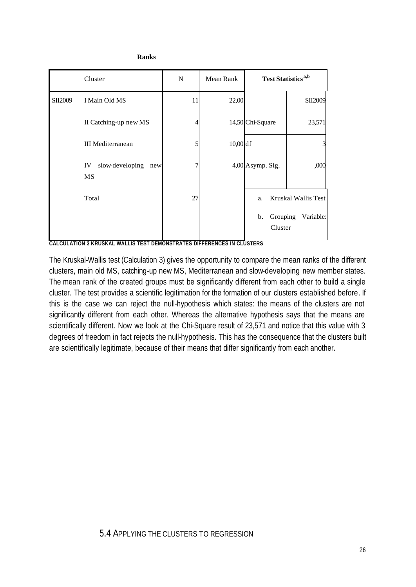|         | Cluster                                   | ${\bf N}$ | Mean Rank | <b>Test Statistics</b> <sup>a,b</sup>                               |
|---------|-------------------------------------------|-----------|-----------|---------------------------------------------------------------------|
| SII2009 | I Main Old MS                             | 11        | 22,00     | SII2009                                                             |
|         | II Catching-up new MS                     |           |           | 14,50 Chi-Square<br>23,571                                          |
|         | <b>III</b> Mediterranean                  | 5         | 10,00 df  | 3                                                                   |
|         | slow-developing<br>IV<br>new<br><b>MS</b> |           |           | ,000<br>4,00 Asymp. Sig.                                            |
|         | Total                                     | 27        |           | Kruskal Wallis Test<br>a.<br>Grouping<br>Variable:<br>b.<br>Cluster |

**Ranks**

**CALCULATION 3 KRUSKAL WALLIS TEST DEMONSTRATES DIFFERENCES IN CLUSTERS**

The Kruskal-Wallis test (Calculation 3) gives the opportunity to compare the mean ranks of the different clusters, main old MS, catching-up new MS, Mediterranean and slow-developing new member states. The mean rank of the created groups must be significantly different from each other to build a single cluster. The test provides a scientific legitimation for the formation of our clusters established before. If this is the case we can reject the null-hypothesis which states: the means of the clusters are not significantly different from each other. Whereas the alternative hypothesis says that the means are scientifically different. Now we look at the Chi-Square result of 23,571 and notice that this value with 3 degrees of freedom in fact rejects the null-hypothesis. This has the consequence that the clusters built are scientifically legitimate, because of their means that differ significantly from each another.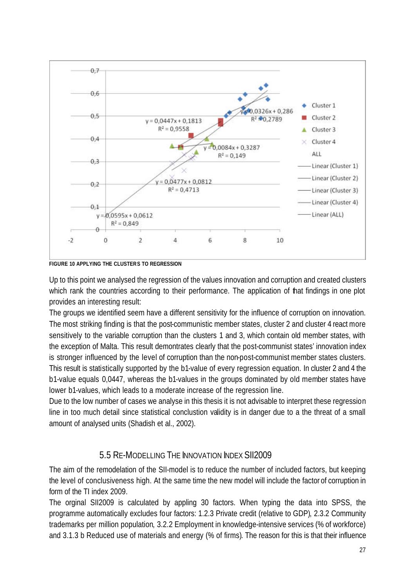

**FIGURE 10 APPLYING THE CLUSTERS TO REGRESSION**

Up to this point we analysed the regression of the values innovation and corruption and created clusters which rank the countries according to their performance. The application of that findings in one plot provides an interesting result:

The groups we identified seem have a different sensitivity for the influence of corruption on innovation. The most striking finding is that the post-communistic member states, cluster 2 and cluster 4 react more sensitively to the variable corruption than the clusters 1 and 3, which contain old member states, with the exception of Malta. This result demontrates clearly that the post-communist states' innovation index is stronger influenced by the level of corruption than the non-post-communist member states clusters. This result is statistically supported by the b1-value of every regression equation. In cluster 2 and 4 the b1-value equals 0,0447, whereas the b1-values in the groups dominated by old member states have lower b1-values, which leads to a moderate increase of the regression line.

Due to the low number of cases we analyse in this thesis it is not advisable to interpret these regression line in too much detail since statistical conclustion validity is in danger due to a the threat of a small amount of analysed units (Shadish et al., 2002).

## 5.5 RE-MODELLING THE INNOVATION INDEX SII2009

The aim of the remodelation of the SII-model is to reduce the number of included factors, but keeping the level of conclusiveness high. At the same time the new model will include the factor of corruption in form of the TI index 2009.

The orginal SII2009 is calculated by appling 30 factors. When typing the data into SPSS, the programme automatically excludes four factors: 1.2.3 Private credit (relative to GDP), 2.3.2 Community trademarks per million population, 3.2.2 Employment in knowledge-intensive services (% of workforce) and 3.1.3 b Reduced use of materials and energy (% of firms). The reason for this is that their influence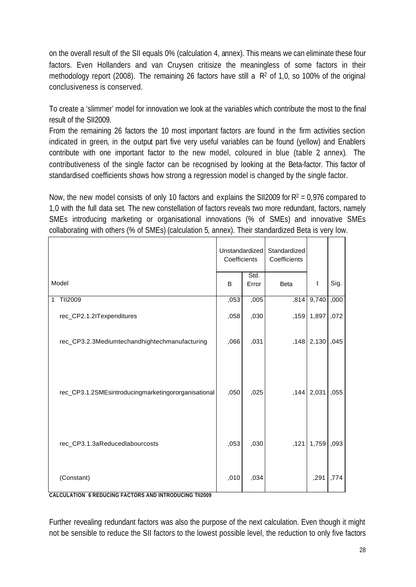on the overall result of the SII equals 0% (calculation 4, annex). This means we can eliminate these four factors. Even Hollanders and van Cruysen critisize the meaningless of some factors in their methodology report (2008). The remaining 26 factors have still a  $R<sup>2</sup>$  of 1,0, so 100% of the original conclusiveness is conserved.

To create a 'slimmer' model for innovation we look at the variables which contribute the most to the final result of the SII2009.

From the remaining 26 factors the 10 most important factors are found in the firm activities section indicated in green, in the output part five very useful variables can be found (yellow) and Enablers contribute with one important factor to the new model, coloured in blue (table 2, annex). The contributiveness of the single factor can be recognised by looking at the Beta-factor. This factor of standardised coefficients shows how strong a regression model is changed by the single factor.

Now, the new model consists of only 10 factors and explains the SII2009 for  $R^2 = 0.976$  compared to 1,0 with the full data set. The new constellation of factors reveals two more redundant, factors, namely SMEs introducing marketing or organisational innovations (% of SMEs) and innovative SMEs collaborating with others (% of SMEs) (calculation 5, annex). Their standardized Beta is very low.

|   |                                                                      | Unstandardized<br>Coefficients |               | Standardized<br>Coefficients |       |       |
|---|----------------------------------------------------------------------|--------------------------------|---------------|------------------------------|-------|-------|
|   | Model                                                                | B                              | Std.<br>Error | <b>Beta</b>                  | t     | Sig.  |
| 1 | TII2009                                                              | ,053                           | ,005          | ,814                         | 9,740 | ,000, |
|   | rec_CP2.1.2ITexpenditures                                            | ,058                           | ,030          | ,159                         | 1,897 | ,072  |
|   | rec_CP3.2.3Mediumtechandhightechmanufacturing                        | ,066                           | ,031          | ,148                         | 2,130 | ,045  |
|   | rec_CP3.1.2SMEsintroducingmarketingororganisational                  | ,050                           | ,025          | , 144                        | 2,031 | ,055  |
|   | rec_CP3.1.3aReducedlabourcosts                                       | ,053                           | ,030          | ,121                         | 1,759 | ,093  |
|   | (Constant)<br>CALCULATION 6 REDUCING FACTORS AND INTRODUCING TII2009 | ,010                           | ,034          |                              | ,291  | ,774  |

Further revealing redundant factors was also the purpose of the next calculation. Even though it might not be sensible to reduce the SII factors to the lowest possible level, the reduction to only five factors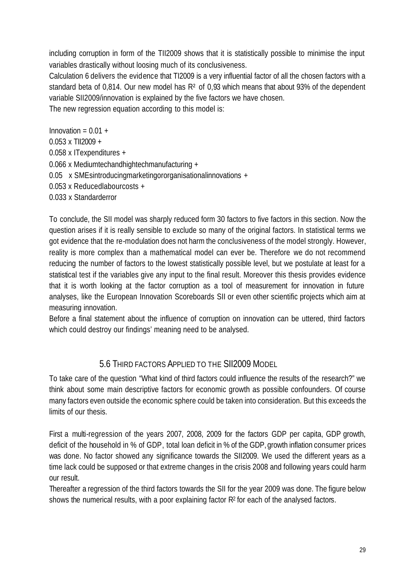including corruption in form of the TII2009 shows that it is statistically possible to minimise the input variables drastically without loosing much of its conclusiveness.

Calculation 6 delivers the evidence that TI2009 is a very influential factor of all the chosen factors with a standard beta of 0,814. Our new model has R<sup>2</sup> of 0,93 which means that about 93% of the dependent variable SII2009/innovation is explained by the five factors we have chosen.

The new regression equation according to this model is:

Innovation =  $0.01 +$ 0.053 x TII2009 + 0.058 x ITexpenditures + 0.066 x Mediumtechandhightechmanufacturing + 0.05 x SMEsintroducingmarketingororganisationalinnovations + 0.053 x Reducedlabourcosts + 0.033 x Standarderror

To conclude, the SII model was sharply reduced form 30 factors to five factors in this section. Now the question arises if it is really sensible to exclude so many of the original factors. In statistical terms we got evidence that the re-modulation does not harm the conclusiveness of the model strongly. However, reality is more complex than a mathematical model can ever be. Therefore we do not recommend reducing the number of factors to the lowest statistically possible level, but we postulate at least for a statistical test if the variables give any input to the final result. Moreover this thesis provides evidence that it is worth looking at the factor corruption as a tool of measurement for innovation in future analyses, like the European Innovation Scoreboards SII or even other scientific projects which aim at measuring innovation.

Before a final statement about the influence of corruption on innovation can be uttered, third factors which could destroy our findings' meaning need to be analysed.

### 5.6 THIRD FACTORS APPLIED TO THE SII2009 MODEL

To take care of the question "What kind of third factors could influence the results of the research?" we think about some main descriptive factors for economic growth as possible confounders. Of course many factors even outside the economic sphere could be taken into consideration. But this exceeds the limits of our thesis.

First a multi-regression of the years 2007, 2008, 2009 for the factors GDP per capita, GDP growth, deficit of the household in % of GDP, total loan deficit in % of the GDP, growth inflation consumer prices was done. No factor showed any significance towards the SII2009. We used the different years as a time lack could be supposed or that extreme changes in the crisis 2008 and following years could harm our result.

Thereafter a regression of the third factors towards the SII for the year 2009 was done. The figure below shows the numerical results, with a poor explaining factor  $R<sup>2</sup>$  for each of the analysed factors.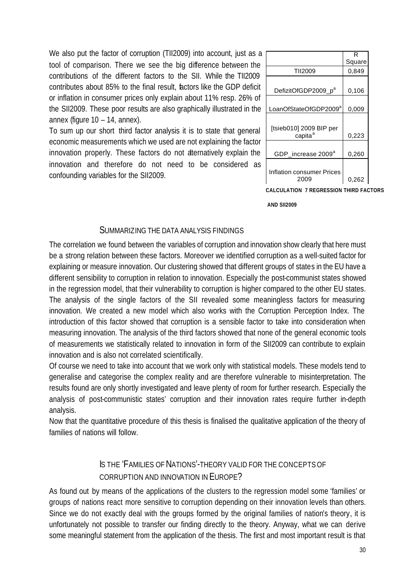We also put the factor of corruption (TII2009) into account, just as a tool of comparison. There we see the big difference between the contributions of the different factors to the SII. While the TII2009 contributes about 85% to the final result, factors like the GDP deficit or inflation in consumer prices only explain about 11% resp. 26% of the SII2009. These poor results are also graphically illustrated in the annex (figure 10 – 14, annex).

To sum up our short third factor analysis it is to state that general economic measurements which we used are not explaining the factor innovation properly. These factors do not alternatively explain the innovation and therefore do not need to be considered as confounding variables for the SII2009.

|                                   | Square |
|-----------------------------------|--------|
| <b>TII2009</b>                    | 0,849  |
|                                   |        |
| DefizitOfGDP2009_p <sup>a</sup>   | 0,106  |
|                                   |        |
| LoanOfStateOfGDP2009 <sup>a</sup> | 0,009  |
|                                   |        |
| [tsieb010] 2009 BIP per           |        |
| capita <sup>a</sup>               | 0,223  |
|                                   |        |
| GDP_increase 2009 <sup>a</sup>    | 0,260  |
|                                   |        |
| Inflation consumer Prices         |        |
| 2009                              | 0,262  |
|                                   |        |

**CALCULATION 7 REGRESSION THIRD FACTORS**

 **AND SII2009**

#### SUMMARIZING THE DATA ANALYSIS FINDINGS

The correlation we found between the variables of corruption and innovation show clearly that here must be a strong relation between these factors. Moreover we identified corruption as a well-suited factor for explaining or measure innovation. Our clustering showed that different groups of states in the EU have a different sensibility to corruption in relation to innovation. Especially the post-communist states showed in the regression model, that their vulnerability to corruption is higher compared to the other EU states. The analysis of the single factors of the SII revealed some meaningless factors for measuring innovation. We created a new model which also works with the Corruption Perception Index. The introduction of this factor showed that corruption is a sensible factor to take into consideration when measuring innovation. The analysis of the third factors showed that none of the general economic tools of measurements we statistically related to innovation in form of the SII2009 can contribute to explain innovation and is also not correlated scientifically.

Of course we need to take into account that we work only with statistical models. These models tend to generalise and categorise the complex reality and are therefore vulnerable to misinterpretation. The results found are only shortly investigated and leave plenty of room for further research. Especially the analysis of post-communistic states' corruption and their innovation rates require further in-depth analysis.

Now that the quantitative procedure of this thesis is finalised the qualitative application of the theory of families of nations will follow.

### IS THE 'FAMILIES OF NATIONS'-THEORY VALID FOR THE CONCEPTS OF CORRUPTION AND INNOVATION IN EUROPE?

As found out by means of the applications of the clusters to the regression model some 'families' or groups of nations react more sensitive to corruption depending on their innovation levels than others. Since we do not exactly deal with the groups formed by the original families of nation's theory, it is unfortunately not possible to transfer our finding directly to the theory. Anyway, what we can derive some meaningful statement from the application of the thesis. The first and most important result is that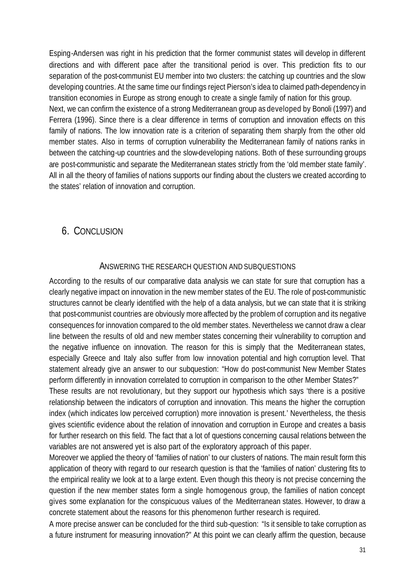Esping-Andersen was right in his prediction that the former communist states will develop in different directions and with different pace after the transitional period is over. This prediction fits to our separation of the post-communist EU member into two clusters: the catching up countries and the slow developing countries. At the same time our findings reject Pierson's idea to claimed path-dependency in transition economies in Europe as strong enough to create a single family of nation for this group. Next, we can confirm the existence of a strong Mediterranean group as developed by Bonoli (1997) and Ferrera (1996). Since there is a clear difference in terms of corruption and innovation effects on this family of nations. The low innovation rate is a criterion of separating them sharply from the other old member states. Also in terms of corruption vulnerability the Mediterranean family of nations ranks in between the catching-up countries and the slow-developing nations. Both of these surrounding groups are post-communistic and separate the Mediterranean states strictly from the 'old member state family'. All in all the theory of families of nations supports our finding about the clusters we created according to the states' relation of innovation and corruption.

### 6. CONCLUSION

#### ANSWERING THE RESEARCH QUESTION AND SUBQUESTIONS

According to the results of our comparative data analysis we can state for sure that corruption has a clearly negative impact on innovation in the new member states of the EU. The role of post-communistic structures cannot be clearly identified with the help of a data analysis, but we can state that it is striking that post-communist countries are obviously more affected by the problem of corruption and its negative consequences for innovation compared to the old member states. Nevertheless we cannot draw a clear line between the results of old and new member states concerning their vulnerability to corruption and the negative influence on innovation. The reason for this is simply that the Mediterranean states, especially Greece and Italy also suffer from low innovation potential and high corruption level. That statement already give an answer to our subquestion: "How do post-communist New Member States perform differently in innovation correlated to corruption in comparison to the other Member States?" These results are not revolutionary, but they support our hypothesis which says 'there is a positive relationship between the indicators of corruption and innovation. This means the higher the corruption

index (which indicates low perceived corruption) more innovation is present.' Nevertheless, the thesis gives scientific evidence about the relation of innovation and corruption in Europe and creates a basis for further research on this field. The fact that a lot of questions concerning causal relations between the variables are not answered yet is also part of the exploratory approach of this paper.

Moreover we applied the theory of 'families of nation' to our clusters of nations. The main result form this application of theory with regard to our research question is that the 'families of nation' clustering fits to the empirical reality we look at to a large extent. Even though this theory is not precise concerning the question if the new member states form a single homogenous group, the families of nation concept gives some explanation for the conspicuous values of the Mediterranean states. However, to draw a concrete statement about the reasons for this phenomenon further research is required.

A more precise answer can be concluded for the third sub-question: "Is it sensible to take corruption as a future instrument for measuring innovation?" At this point we can clearly affirm the question, because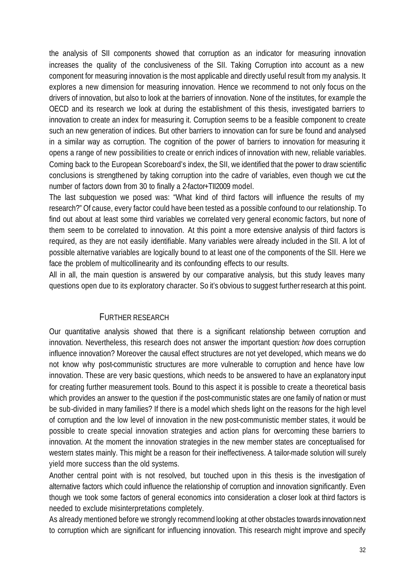the analysis of SII components showed that corruption as an indicator for measuring innovation increases the quality of the conclusiveness of the SII. Taking Corruption into account as a new component for measuring innovation is the most applicable and directly useful result from my analysis. It explores a new dimension for measuring innovation. Hence we recommend to not only focus on the drivers of innovation, but also to look at the barriers of innovation. None of the institutes, for example the OECD and its research we look at during the establishment of this thesis, investigated barriers to innovation to create an index for measuring it. Corruption seems to be a feasible component to create such an new generation of indices. But other barriers to innovation can for sure be found and analysed in a similar way as corruption. The cognition of the power of barriers to innovation for measuring it opens a range of new possibilities to create or enrich indices of innovation with new, reliable variables. Coming back to the European Scoreboard's index, the SII, we identified that the power to draw scientific conclusions is strengthened by taking corruption into the cadre of variables, even though we cut the number of factors down from 30 to finally a 2-factor+TII2009 model.

The last subquestion we posed was: "What kind of third factors will influence the results of my research?" Of cause, every factor could have been tested as a possible confound to our relationship. To find out about at least some third variables we correlated very general economic factors, but none of them seem to be correlated to innovation. At this point a more extensive analysis of third factors is required, as they are not easily identifiable. Many variables were already included in the SII. A lot of possible alternative variables are logically bound to at least one of the components of the SII. Here we face the problem of multicollinearity and its confounding effects to our results.

All in all, the main question is answered by our comparative analysis, but this study leaves many questions open due to its exploratory character. So it's obvious to suggest further research at this point.

#### FURTHER RESEARCH

Our quantitative analysis showed that there is a significant relationship between corruption and innovation. Nevertheless, this research does not answer the important question*: how* does corruption influence innovation? Moreover the causal effect structures are not yet developed, which means we do not know why post-communistic structures are more vulnerable to corruption and hence have low innovation. These are very basic questions, which needs to be answered to have an explanatory input for creating further measurement tools. Bound to this aspect it is possible to create a theoretical basis which provides an answer to the question if the post-communistic states are one family of nation or must be sub-divided in many families? If there is a model which sheds light on the reasons for the high level of corruption and the low level of innovation in the new post-communistic member states, it would be possible to create special innovation strategies and action plans for overcoming these barriers to innovation. At the moment the innovation strategies in the new member states are conceptualised for western states mainly. This might be a reason for their ineffectiveness. A tailor-made solution will surely yield more success than the old systems.

Another central point with is not resolved, but touched upon in this thesis is the investigation of alternative factors which could influence the relationship of corruption and innovation significantly. Even though we took some factors of general economics into consideration a closer look at third factors is needed to exclude misinterpretations completely.

As already mentioned before we strongly recommend looking at other obstacles towards innovation next to corruption which are significant for influencing innovation. This research might improve and specify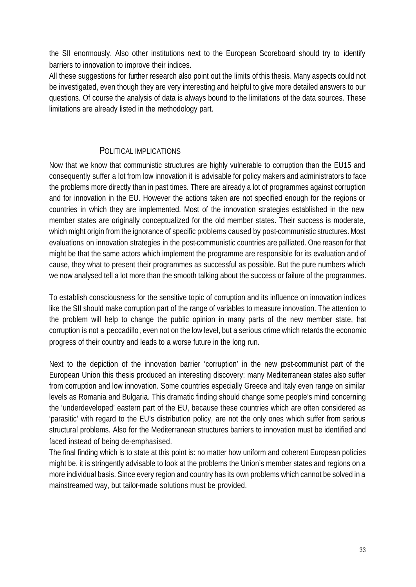the SII enormously. Also other institutions next to the European Scoreboard should try to identify barriers to innovation to improve their indices.

All these suggestions for further research also point out the limits of this thesis. Many aspects could not be investigated, even though they are very interesting and helpful to give more detailed answers to our questions. Of course the analysis of data is always bound to the limitations of the data sources. These limitations are already listed in the methodology part.

#### POLITICAL IMPLICATIONS

Now that we know that communistic structures are highly vulnerable to corruption than the EU15 and consequently suffer a lot from low innovation it is advisable for policy makers and administrators to face the problems more directly than in past times. There are already a lot of programmes against corruption and for innovation in the EU. However the actions taken are not specified enough for the regions or countries in which they are implemented. Most of the innovation strategies established in the new member states are originally conceptualized for the old member states. Their success is moderate, which might origin from the ignorance of specific problems caused by post-communistic structures. Most evaluations on innovation strategies in the post-communistic countries are palliated. One reason for that might be that the same actors which implement the programme are responsible for its evaluation and of cause, they what to present their programmes as successful as possible. But the pure numbers which we now analysed tell a lot more than the smooth talking about the success or failure of the programmes.

To establish consciousness for the sensitive topic of corruption and its influence on innovation indices like the SII should make corruption part of the range of variables to measure innovation. The attention to the problem will help to change the public opinion in many parts of the new member state, hat corruption is not a peccadillo, even not on the low level, but a serious crime which retards the economic progress of their country and leads to a worse future in the long run.

Next to the depiction of the innovation barrier 'corruption' in the new post-communist part of the European Union this thesis produced an interesting discovery: many Mediterranean states also suffer from corruption and low innovation. Some countries especially Greece and Italy even range on similar levels as Romania and Bulgaria. This dramatic finding should change some people's mind concerning the 'underdeveloped' eastern part of the EU, because these countries which are often considered as 'parasitic' with regard to the EU's distribution policy, are not the only ones which suffer from serious structural problems. Also for the Mediterranean structures barriers to innovation must be identified and faced instead of being de-emphasised.

The final finding which is to state at this point is: no matter how uniform and coherent European policies might be, it is stringently advisable to look at the problems the Union's member states and regions on a more individual basis. Since every region and country has its own problems which cannot be solved in a mainstreamed way, but tailor-made solutions must be provided.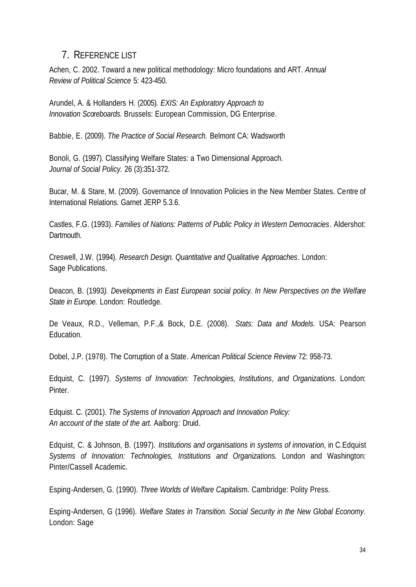### 7. REFERENCE LIST

Achen, C. 2002. Toward a new political methodology: Micro foundations and ART. *Annual Review of Political Science* 5: 423-450.

Arundel, A. & Hollanders H. (2005). *EXIS: An Exploratory Approach to Innovation Scoreboards.* Brussels: European Commission, DG Enterprise.

Babbie, E. (2009). *The Practice of Social Research.* Belmont CA: Wadsworth

Bonoli, G. (1997). Classifying Welfare States: a Two Dimensional Approach. *Journal of Social Policy.* 26 (3):351-372.

Bucar, M. & Stare, M. (2009). Governance of Innovation Policies in the New Member States. Centre of International Relations. Garnet JERP 5.3.6.

Castles, F.G. (1993). *Families of Nations: Patterns of Public Policy in Western Democracies*. Aldershot: **Dartmouth.** 

Creswell, J.W. (1994). *Research Design. Quantitative and Qualitative Approaches*. London: Sage Publications.

Deacon, B. (1993*). Developments in East European social policy. In New Perspectives on the Welfare State in Europe.* London: Routledge.

De Veaux, R.D., Velleman, P.F.,& Bock, D.E. (2008). *Stats: Data and Models.* USA: Pearson Education.

Dobel, J.P. (1978). The Corruption of a State. *American Political Science Review* 72: 958-73.

Edquist, C. (1997). *Systems of Innovation: Technologies, Institutions, and Organizations.* London: Pinter.

Edquist. C. (2001). *The Systems of Innovation Approach and Innovation Policy: An account of the state of the art.* Aalborg: Druid.

Edquist, C. & Johnson, B. (1997). *Institutions and organisations in systems of innovation*, in C.Edquist *Systems of Innovation: Technologies, Institutions and Organizations.* London and Washington: Pinter/Cassell Academic.

Esping-Andersen, G. (1990). *Three Worlds of Welfare Capitalis*m. Cambridge: Polity Press.

Esping-Andersen, G (1996). *Welfare States in Transition. Social Security in the New Global Economy*. London: Sage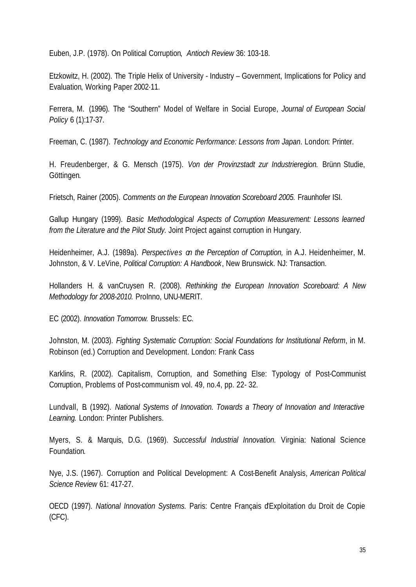Euben, J.P. (1978). On Political Corruption, *Antioch Review* 36: 103-18.

Etzkowitz, H. (2002). The Triple Helix of University - Industry – Government, Implications for Policy and Evaluation, Working Paper 2002·11.

Ferrera, M. (1996). The "Southern" Model of Welfare in Social Europe, *Journal of European Social Policy* 6 (1):17-37.

Freeman, C. (1987). *Technology and Economic Performance: Lessons from Japan*. London: Printer.

H. Freudenberger, & G. Mensch (1975). *Von der Provinzstadt zur Industrieregion.* Brünn Studie, Göttingen.

Frietsch, Rainer (2005). *Comments on the European Innovation Scoreboard 2005.* Fraunhofer ISI.

Gallup Hungary (1999). *Basic Methodological Aspects of Corruption Measurement: Lessons learned from the Literature and the Pilot Study.* Joint Project against corruption in Hungary.

Heidenheimer, A.J. (1989a). *Perspectives on the Perception of Corruption,* in A.J. Heidenheimer, M. Johnston, & V. LeVine, *Political Corruption: A Handbook*, New Brunswick. NJ: Transaction.

Hollanders H. & vanCruysen R. (2008). *Rethinking the European Innovation Scoreboard: A New Methodology for 2008-2010.* ProInno, UNU-MERIT.

EC (2002). *Innovation Tomorrow.* Brussels: EC.

Johnston, M. (2003). *Fighting Systematic Corruption: Social Foundations for Institutional Reform*, in M. Robinson (ed.) Corruption and Development. London: Frank Cass

Karklins, R. (2002). Capitalism, Corruption, and Something Else: Typology of Post-Communist Corruption, Problems of Post-communism vol. 49, no.4, pp. 22- 32.

Lundvall, B. (1992). *National Systems of Innovation. Towards a Theory of Innovation and Interactive Learning.* London: Printer Publishers.

Myers, S. & Marquis, D.G. (1969). *Successful Industrial Innovation.* Virginia: National Science Foundation.

Nye, J.S. (1967). Corruption and Political Development: A Cost-Benefit Analysis, *American Political Science Review* 61: 417-27.

OECD (1997). *National Innovation Systems.* Paris: Centre Français d'Exploitation du Droit de Copie (CFC).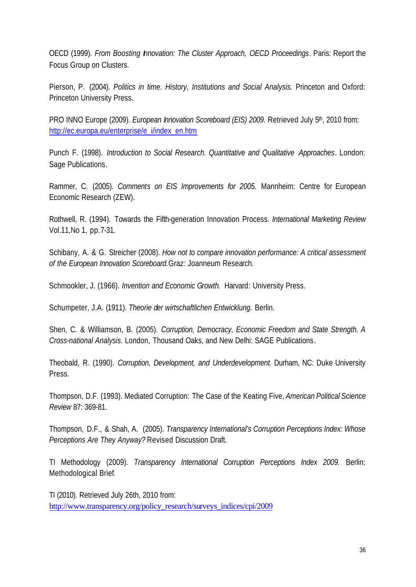OECD (1999). *From Boosting Innovation: The Cluster Approach, OECD Proceedings*. Paris: Report the Focus Group on Clusters.

Pierson, P. (2004). *Politics in time. History, Institutions and Social Analysis.* Princeton and Oxford: Princeton University Press.

PRO INNO Europe (2009). *European Innovation Scoreboard (EIS) 2009*. Retrieved July 5<sup>th</sup>, 2010 from: http://ec.europa.eu/enterprise/e\_i/index\_en.htm

Punch F. (1998). *Introduction to Social Research. Quantitative and Qualitative Approaches*. London: Sage Publications.

Rammer, C. (2005). *Comments on EIS Improvements for 2005.* Mannheim: Centre for European Economic Research (ZEW).

Rothwell, R. (1994). Towards the Fifth-generation Innovation Process. *International Marketing Review* Vol.11,No 1, pp.7-31.

Schibany, A. & G. Streicher (2008). *How not to compare innovation performance: A critical assessment of the European Innovation Scoreboard.*Graz: Joanneum Research.

Schmookler, J. (1966). *Invention and Economic Growth*. Harvard: University Press.

Schumpeter, J.A. (1911). *Theorie der wirtschaftlichen Entwicklung.* Berlin.

Shen, C. & Williamson, B. (2005). *Corruption, Democracy, Economic Freedom and State Strength. A Cross-national Analysis*. London, Thousand Oaks, and New Delhi: SAGE Publications.

Theobald, R. (1990). *Corruption, Development, and Underdevelopment.* Durham, NC: Duke University Press.

Thompson, D.F. (1993). Mediated Corruption: The Case of the Keating Five, *American Political Science Review* 87: 369-81.

Thompson, D.F., & Shah, A. (2005). *Transparency International's Corruption Perceptions Index: Whose Perceptions Are They Anyway?* Revised Discussion Draft.

TI Methodology (2009). *Transparency International Corruption Perceptions Index 2009.* Berlin: Methodological Brief.

TI (2010). Retrieved July 26th, 2010 from: http://www.transparency.org/policy\_research/surveys\_indices/cpi/2009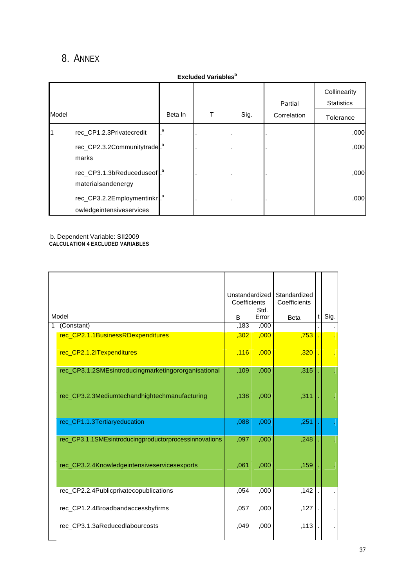# 8. ANNEX

| <b>Excluded Variables</b> <sup>b</sup> |                                                              |         |   |      |                        |                                                |  |  |  |
|----------------------------------------|--------------------------------------------------------------|---------|---|------|------------------------|------------------------------------------------|--|--|--|
| Model                                  |                                                              | Beta In | т | Sig. | Partial<br>Correlation | Collinearity<br><b>Statistics</b><br>Tolerance |  |  |  |
|                                        | rec_CP1.2.3Privatecredit                                     | a       |   |      |                        | ,000                                           |  |  |  |
|                                        | rec_CP2.3.2Communitytrade.<br>marks                          |         |   |      |                        | ,000                                           |  |  |  |
|                                        | rec_CP3.1.3bReduceduseof. <sup>a</sup><br>materialsandenergy |         |   |      |                        | ,000                                           |  |  |  |
|                                        | rec_CP3.2.2Employmentinkn<br>owledgeintensiveservices        |         |   |      |                        | ,000                                           |  |  |  |

b. Dependent Variable: SII2009 **CALCULATION 4 EXCLUDED VARIABLES**

|                                                       | Unstandardized<br>Coefficients |               | Standardized<br>Coefficients |     |      |
|-------------------------------------------------------|--------------------------------|---------------|------------------------------|-----|------|
| Model                                                 |                                | Std.<br>Error | <b>Beta</b>                  | t l | Sig. |
| (Constant)                                            | ,183                           | ,000          |                              |     |      |
| rec_CP2.1.1BusinessRDexpenditures                     | ,302                           | ,000          | ,753                         |     |      |
| rec_CP2.1.2ITexpenditures                             | ,116                           | ,000          | ,320                         |     |      |
| rec_CP3.1.2SMEsintroducingmarketingororganisational   | ,109                           | ,000          | ,315                         |     |      |
| rec_CP3.2.3Mediumtechandhightechmanufacturing         | ,138                           | ,000          | ,311                         |     |      |
| rec_CP1.1.3Tertiaryeducation                          | ,088                           | ,000          | ,251                         |     |      |
| rec_CP3.1.1SMEsintroducingproductorprocessinnovations | ,097                           | ,000          | ,248                         |     |      |
| rec_CP3.2.4Knowledgeintensiveservicesexports          | ,061                           | ,000          | ,159                         |     |      |
| rec_CP2.2.4Publicprivatecopublications                | ,054                           | ,000          | ,142                         |     |      |
| rec_CP1.2.4Broadbandaccessbyfirms                     | ,057                           | ,000          | ,127                         |     |      |
| rec_CP3.1.3aReducedlabourcosts                        | ,049                           | ,000          | ,113                         |     |      |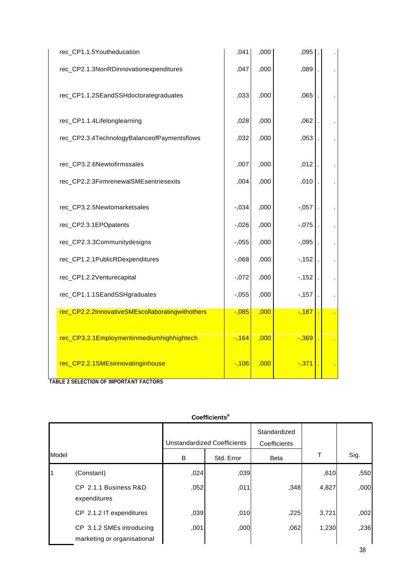| rec_CP1.1.5Youtheducation                        | ,041     | ,000 | ,095     |  |
|--------------------------------------------------|----------|------|----------|--|
| rec_CP2.1.3NonRDinnovationexpenditures           | ,047     | ,000 | ,089     |  |
| rec_CP1.1.2SEandSSHdoctorategraduates            | ,033     | ,000 | ,065     |  |
| rec_CP1.1.4Lifelonglearning                      | ,028     | ,000 | ,062     |  |
| rec_CP2.3.4TechnologyBalanceofPaymentsflows      | ,032     | ,000 | ,053     |  |
| rec_CP3.2.6Newtofirmssales                       | ,007     | ,000 | ,012     |  |
| rec_CP2.2.3FirmrenewalSMEsentriesexits           | ,004     | ,000 | ,010     |  |
| rec_CP3.2.5Newtomarketsales                      | $-0.034$ | ,000 | $-0.057$ |  |
| rec_CP2.3.1EPOpatents                            | $-0.026$ | ,000 | $-0.075$ |  |
| rec_CP2.3.3Communitydesigns                      | $-0.055$ | ,000 | $-0.095$ |  |
| rec_CP1.2.1PublicRDexpenditures                  | $-0.068$ | ,000 | $-152$   |  |
| rec_CP1.2.2Venturecapital                        | $-0.072$ | ,000 | $-152$   |  |
| rec_CP1.1.1SEandSSHgraduates                     | $-0.055$ | ,000 | $-157$   |  |
| rec_CP2.2.2InnovativeSMEscollaboratingwithothers | $-0.085$ | ,000 | $-187$   |  |
| rec_CP3.2.1Employmentinmediumhighhightech        | $-164$   | ,000 | $-0.369$ |  |
| rec_CP2.2.1SMEsinnovatinginhouse                 | $-106$   | ,000 | $-0.371$ |  |

**TABLE 2 SELECTION OF IMPORTANT FACTORS**

|       |                                                          |      | <b>Coemicients</b>                 |                              |       |      |
|-------|----------------------------------------------------------|------|------------------------------------|------------------------------|-------|------|
|       |                                                          |      | <b>Unstandardized Coefficients</b> | Standardized<br>Coefficients |       |      |
| Model |                                                          | B    | Std. Error                         | <b>Beta</b>                  |       | Sig. |
|       | (Constant)                                               | ,024 | ,039                               |                              | ,610  | ,550 |
|       | CP 2.1.1 Business R&D<br>expenditures                    | ,052 | ,011                               | ,348                         | 4,827 | ,000 |
|       | CP 2.1.2 IT expenditures                                 | ,039 | ,010                               | ,225                         | 3,721 | ,002 |
|       | CP 3.1.2 SMEs introducing<br>marketing or organisational | ,001 | ,000                               | ,062                         | 1,230 | ,236 |

**Coefficients<sup>a</sup>**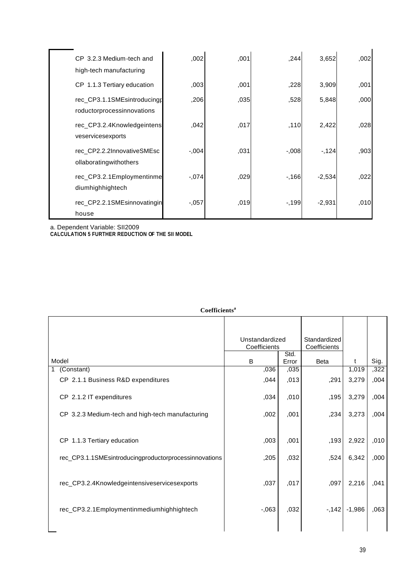| CP 3.2.3 Medium-tech and<br>high-tech manufacturing       | ,002     | ,001 | ,244     | 3,652    | ,002 |
|-----------------------------------------------------------|----------|------|----------|----------|------|
| CP 1.1.3 Tertiary education                               | ,003     | ,001 | ,228     | 3,909    | ,001 |
| rec_CP3.1.1SMEsintroducingp<br>roductorprocessinnovations | ,206     | ,035 | ,528     | 5,848    | ,000 |
| rec_CP3.2.4Knowledgeintens<br>veservicesexports           | ,042     | ,017 | ,110     | 2,422    | ,028 |
| rec CP2.2.2InnovativeSMEsc<br>ollaboratingwithothers      | $-0.004$ | ,031 | $-0.008$ | $-124$   | ,903 |
| rec_CP3.2.1Employmentinme<br>diumhighhightech             | $-0.074$ | ,029 | $-166$   | $-2,534$ | ,022 |
| rec_CP2.2.1SMEsinnovatingin<br>house                      | $-0.057$ | ,019 | $-199$   | $-2,931$ | ,010 |

a. Dependent Variable: SII2009

**CALCULATION 5 FURTHER REDUCTION OF THE SII MODEL**

| Coemuchus                                             |                                                                |               |             |          |      |
|-------------------------------------------------------|----------------------------------------------------------------|---------------|-------------|----------|------|
|                                                       | Unstandardized<br>Standardized<br>Coefficients<br>Coefficients |               |             |          |      |
| Model                                                 | B                                                              | Std.<br>Error | <b>Beta</b> | t        | Sig. |
| (Constant)                                            | ,036                                                           | ,035          |             | 1,019    | ,322 |
| CP 2.1.1 Business R&D expenditures                    | ,044                                                           | ,013          | ,291        | 3,279    | ,004 |
| CP 2.1.2 IT expenditures                              | ,034                                                           | ,010          | ,195        | 3,279    | ,004 |
| CP 3.2.3 Medium-tech and high-tech manufacturing      | ,002                                                           | ,001          | ,234        | 3,273    | ,004 |
| CP 1.1.3 Tertiary education                           | ,003                                                           | ,001          | ,193        | 2,922    | ,010 |
| rec_CP3.1.1SMEsintroducingproductorprocessinnovations | ,205                                                           | ,032          | ,524        | 6,342    | ,000 |
| rec_CP3.2.4Knowledgeintensiveservicesexports          | ,037                                                           | ,017          | ,097        | 2,216    | ,041 |
| rec_CP3.2.1Employmentinmediumhighhightech             | $-063$                                                         | ,032          | $-142$      | $-1,986$ | ,063 |
|                                                       |                                                                |               |             |          |      |

#### **Coefficients<sup>a</sup>**

 $\overline{a}$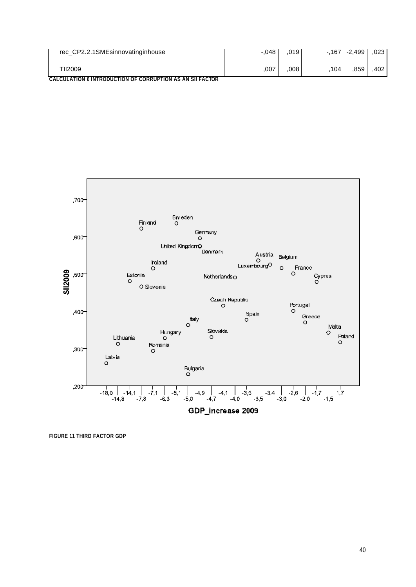| rec_CP2.2.1SMEsinnovatinginhouse                           | $-.048$ | .019 |     | $-167$ $-2,499$ | .023 |
|------------------------------------------------------------|---------|------|-----|-----------------|------|
| TII2009                                                    | .007    | 008  | 104 | 859             | 402  |
| CALCULATION 6 INTRODUCTION OF CORRUPTION AS AN SII FACTOR. |         |      |     |                 |      |



**FIGURE 11 THIRD FACTOR GDP**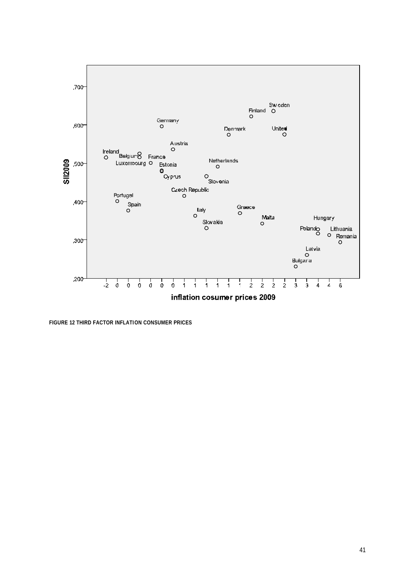

**FIGURE 12 THIRD FACTOR INFLATION CONSUMER PRICES**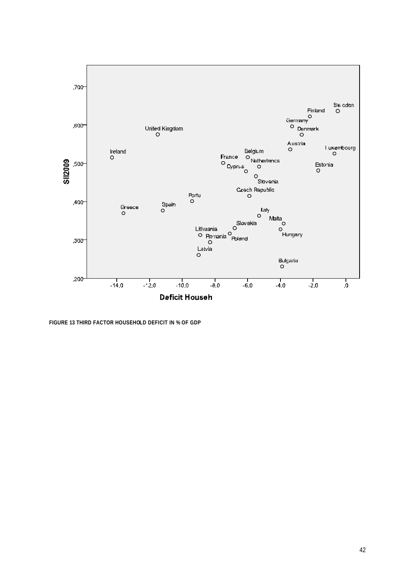

**FIGURE 13 THIRD FACTOR HOUSEHOLD DEFICIT IN % OF GDP**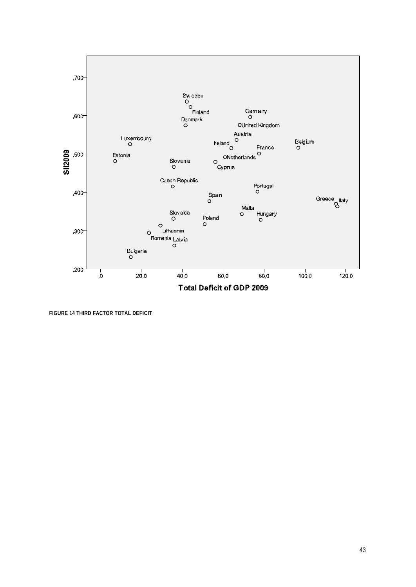

**FIGURE 14 THIRD FACTOR TOTAL DEFICIT**